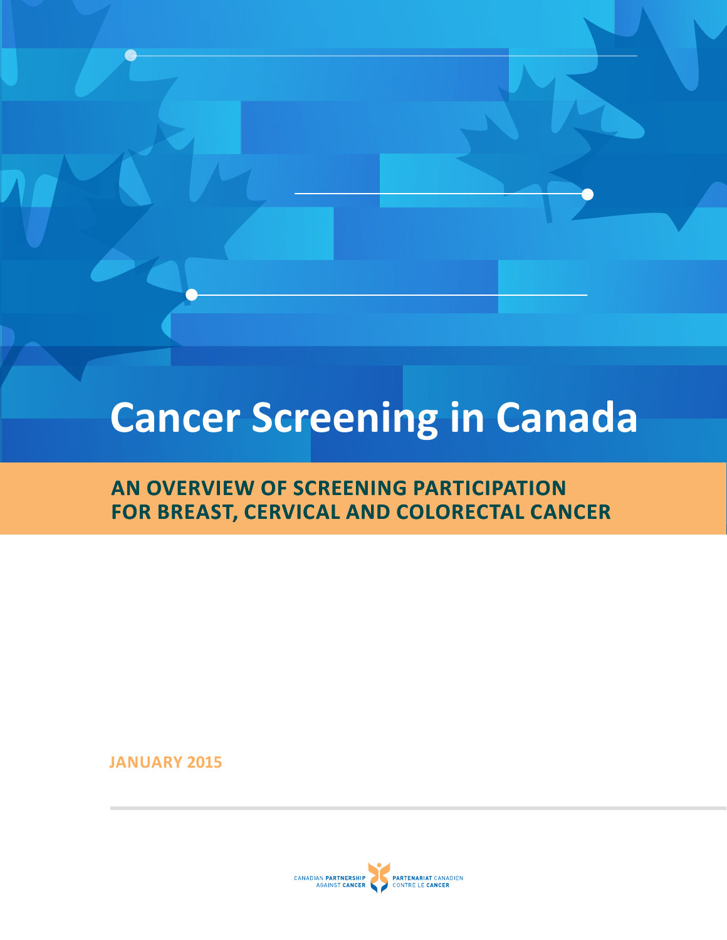# **Cancer Screening in Canada**

# **AN OVERVIEW OF SCREENING PARTICIPATION FOR BREAST, CERVICAL AND COLORECTAL CANCER**

**JANUARY 2015**

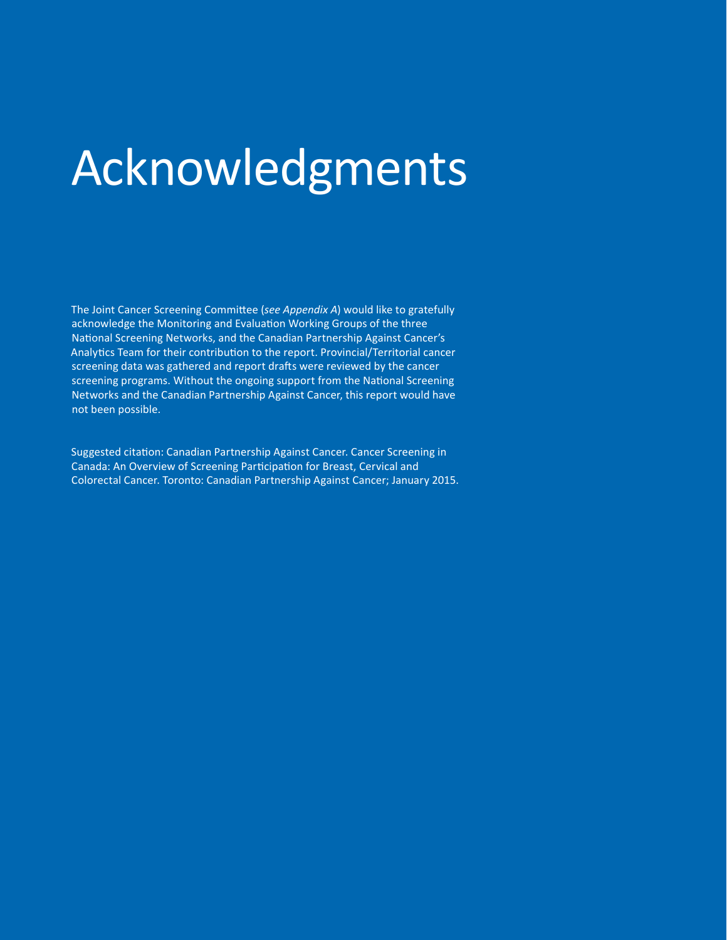# Acknowledgments

 The Joint Cancer Screening Committee (*see Appendix A*) would like to gratefully acknowledge the Monitoring and Evaluation Working Groups of the three National Screening Networks, and the Canadian Partnership Against Cancer's Analytics Team for their contribution to the report. Provincial/Territorial cancer screening data was gathered and report drafts were reviewed by the cancer screening programs. Without the ongoing support from the National Screening Networks and the Canadian Partnership Against Cancer, this report would have not been possible.

 Suggested citation: Canadian Partnership Against Cancer. Cancer Screening in Canada: An Overview of Screening Participation for Breast, Cervical and Colorectal Cancer. Toronto: Canadian Partnership Against Cancer; January 2015.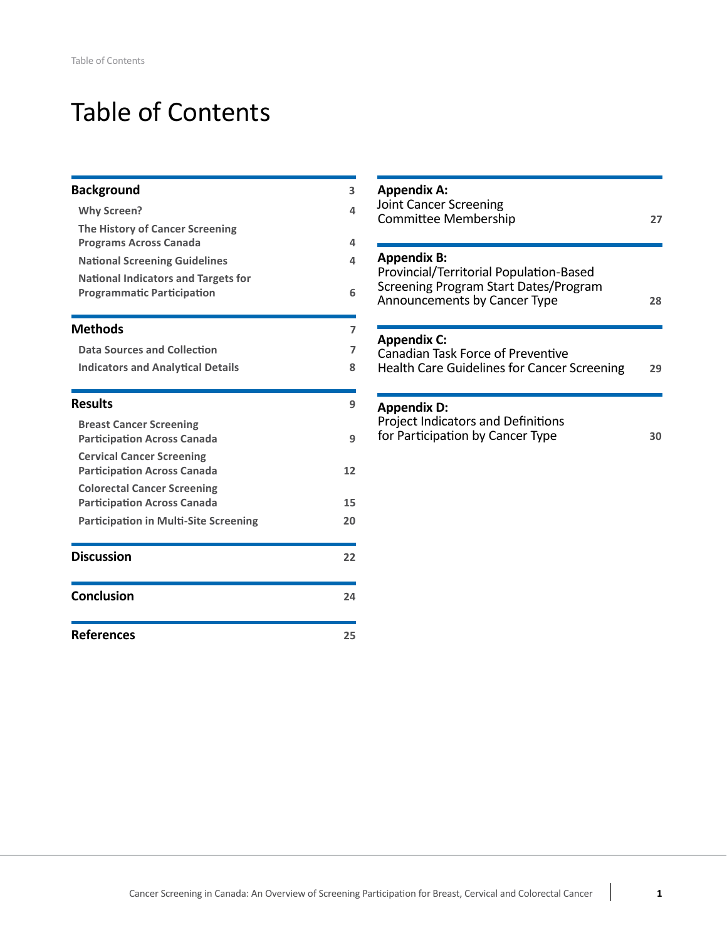# Table of Contents

| <b>Background</b>                            | $\overline{\mathbf{3}}$ | <b>Appendix A:</b>                                                    |
|----------------------------------------------|-------------------------|-----------------------------------------------------------------------|
| <b>Why Screen?</b>                           | 4                       | <b>Joint Cancer Screening</b>                                         |
| The History of Cancer Screening              |                         | Committee Membership                                                  |
| <b>Programs Across Canada</b>                | 4                       |                                                                       |
| <b>National Screening Guidelines</b>         | 4                       | <b>Appendix B:</b>                                                    |
| <b>National Indicators and Targets for</b>   |                         | Provincial/Territorial Population-Based                               |
| <b>Programmatic Participation</b>            | 6                       | Screening Program Start Dates/Program<br>Announcements by Cancer Type |
| <b>Methods</b>                               | $\overline{ }$          |                                                                       |
| <b>Data Sources and Collection</b>           | $\overline{ }$          | <b>Appendix C:</b><br>Canadian Task Force of Preventive               |
| <b>Indicators and Analytical Details</b>     | 8                       | <b>Health Care Guidelines for Cancer Screening</b>                    |
| <b>Results</b>                               | 9                       | <b>Appendix D:</b>                                                    |
| <b>Breast Cancer Screening</b>               |                         | Project Indicators and Definitions                                    |
| <b>Participation Across Canada</b>           | 9                       | for Participation by Cancer Type                                      |
| <b>Cervical Cancer Screening</b>             |                         |                                                                       |
| <b>Participation Across Canada</b>           | 12                      |                                                                       |
| <b>Colorectal Cancer Screening</b>           |                         |                                                                       |
| <b>Participation Across Canada</b>           | 15                      |                                                                       |
| <b>Participation in Multi-Site Screening</b> | 20                      |                                                                       |
| <b>Discussion</b>                            | 22                      |                                                                       |
| <b>Conclusion</b>                            | 24                      |                                                                       |
| <b>References</b>                            | 25                      |                                                                       |

| <b>Appendix A:</b><br><b>Joint Cancer Screening</b><br>Committee Membership                                                            | 27 |
|----------------------------------------------------------------------------------------------------------------------------------------|----|
| <b>Appendix B:</b><br>Provincial/Territorial Population-Based<br>Screening Program Start Dates/Program<br>Announcements by Cancer Type | 28 |
| <b>Appendix C:</b><br>Canadian Task Force of Preventive<br>Health Care Guidelines for Cancer Screening                                 | 29 |
| <b>Appendix D:</b><br>Project Indicators and Definitions<br>for Participation by Cancer Type                                           | 30 |
|                                                                                                                                        |    |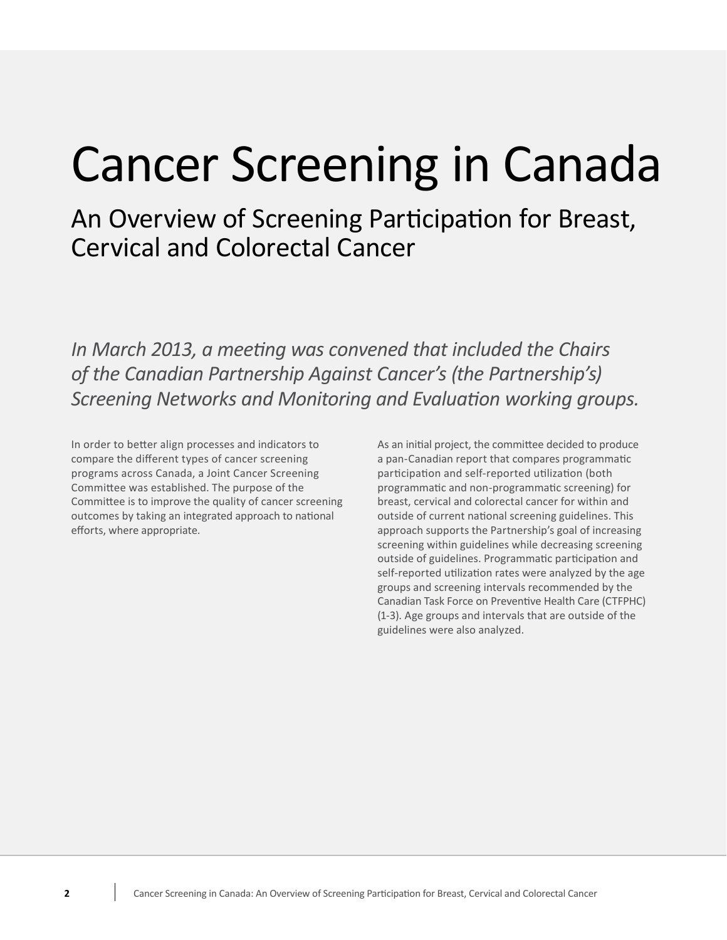# Cancer Screening in Canada

 An Overview of Screening Participation for Breast, Cervical and Colorectal Cancer

 *In March 2013, a meeting was convened that included the Chairs of the Canadian Partnership Against Cancer's (the Partnership's) Screening Networks and Monitoring and Evaluation working groups.*

In order to better align processes and indicators to compare the different types of cancer screening programs across Canada, a Joint Cancer Screening participation and self-reported utilization (both Committee was established. The purpose of the Committee is to improve the quality of cancer screening breast, cervical and colorectal cancer for within and outcomes by taking an integrated approach to national outside of current national screening guidelines. This efforts, where appropriate. In order to better align processes and indicators to As an initial project, the committee decided to produce compare the different types of cancer screening a pan-Canadian report that compares programmatic Committee was established. The purpose of the programmatic and non-programmatic screening) for efforts, where appropriate. approach supports the Partnership's goal of increasing

participation and self-reported utilization (both breast, cervical and colorectal cancer for within and outside of current national screening guidelines. This outside of guidelines. Programmatic participation and self-reported utilization rates were analyzed by the age groups and screening intervals recommended by the Canadian Task Force on Preventive Health Care (CTFPHC) (1-3). Age groups and intervals that are outside of the guidelines were also analyzed. screening within guidelines while decreasing screening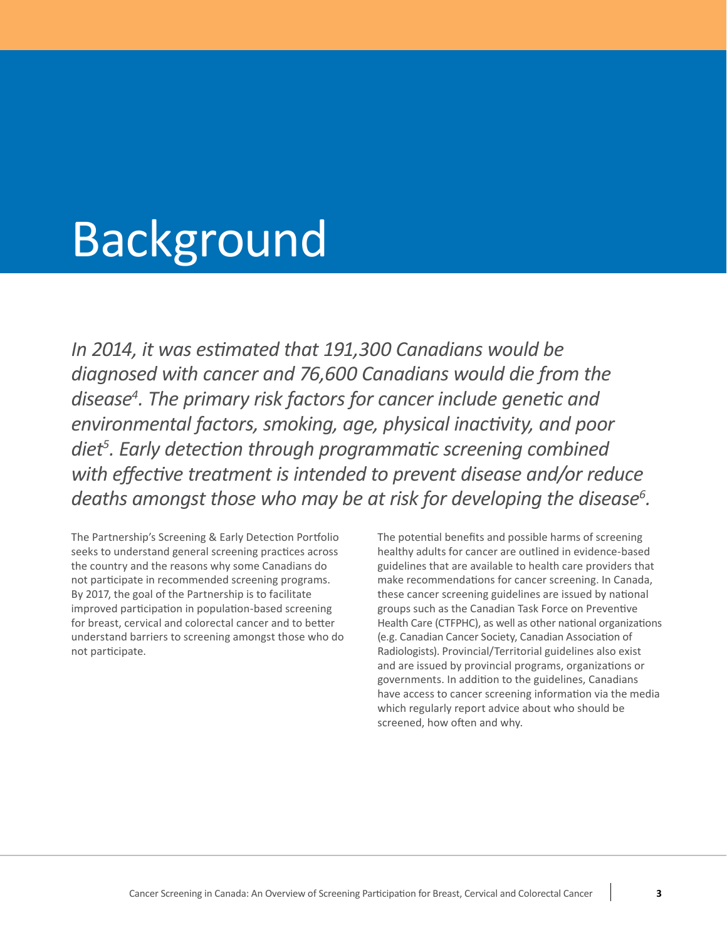# <span id="page-4-0"></span>Background

 *In 2014, it was estimated that 191,300 Canadians would be diagnosed with cancer and 76,600 Canadians would die from the disease4 . The primary risk factors for cancer include genetic and environmental factors, smoking, age, physical inactivity, and poor diet<sup>5</sup> . Early detection through programmatic screening combined with effective treatment is intended to prevent disease and/or reduce deaths* amongst *those* who may be at risk for developing the disease<sup>6</sup>.

 The Partnership's Screening & Early Detection Portfolio The potential benefits and possible harms of screening seeks to understand general screening practices across not participate in recommended screening programs. By 2017, the goal of the Partnership is to facilitate improved participation in population-based screening entity groups such as the Canadian Task Force on Preventive for breast, cervical and colorectal cancer and to better understand barriers to screening amongst those who do seeks to understand general screening practices across healthy adults for cancer are outlined in evidence-based understand barriers to screening amongst those who do  $\qquad \qquad$  (e.g. Canadian Cancer Society, Canadian Association of not participate. Radiologists). Provincial/Territorial guidelines also exist the country and the reasons why some Canadians do

The potential benefits and possible harms of screening guidelines that are available to health care providers that not participate in recommended screening programs. make recommendations for cancer screening. In Canada, By 2017, the goal of the Partnership is to facilitate these cancer screening guidelines are issued by national groups such as the Canadian Task Force on Preventive for breast, cervical and colorectal cancer and to better **Health Care (CTFPHC)**, as well as other national organizations and are issued by provincial programs, organizations or governments. In addition to the guidelines, Canadians have access to cancer screening information via the media which regularly report advice about who should be screened, how often and why.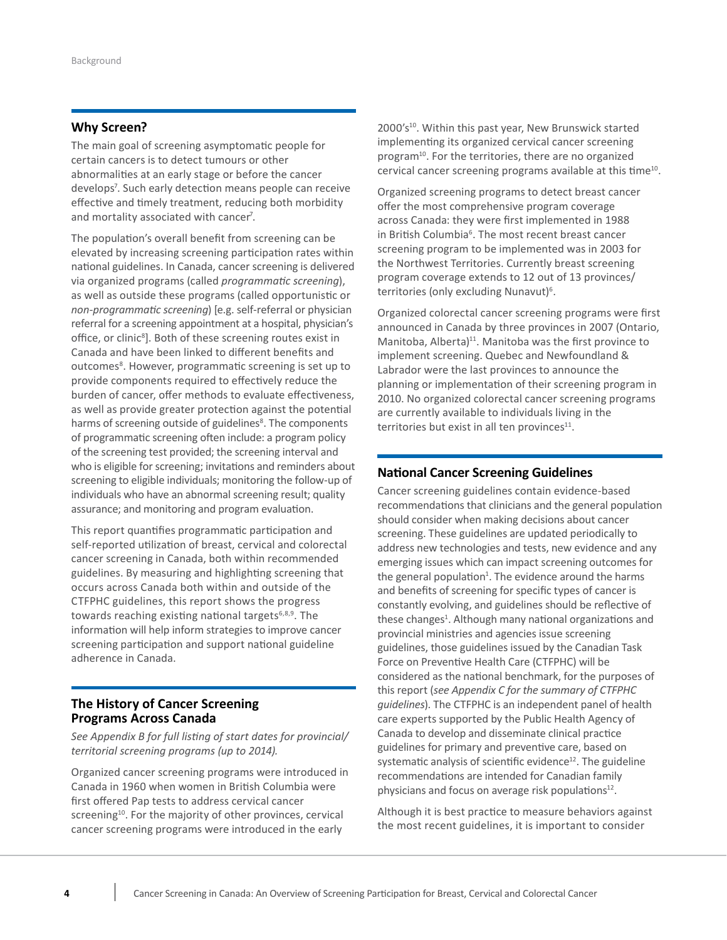## <span id="page-5-0"></span>**Why Screen?**

 The main goal of screening asymptomatic people for abnormalities at an early stage or before the cancer develops7 . Such early detection means people can receive effective and timely treatment, reducing both morbidity certain cancers is to detect tumours or other and mortality associated with cancer<sup>7</sup>.

 The population's overall benefit from screening can be elevated by increasing screening participation rates within national guidelines. In Canada, cancer screening is delivered via organized programs (called *programmatic screening*), as well as outside these programs (called opportunistic or *non-programmatic screening*) [e.g. self-referral or physician referral for a screening appointment at a hospital, physician's office, or clinic<sup>8</sup>]. Both of these screening routes exist in Canada and have been linked to different benefits and outcomes<sup>8</sup>. However, programmatic screening is set up to provide components required to effectively reduce the burden of cancer, offer methods to evaluate effectiveness, as well as provide greater protection against the potential harms of screening outside of guidelines<sup>8</sup>. The components of programmatic screening often include: a program policy of the screening test provided; the screening interval and who is eligible for screening; invitations and reminders about screening to eligible individuals; monitoring the follow-up of individuals who have an abnormal screening result; quality assurance; and monitoring and program evaluation.

 This report quantifies programmatic participation and self-reported utilization of breast, cervical and colorectal cancer screening in Canada, both within recommended guidelines. By measuring and highlighting screening that occurs across Canada both within and outside of the CTFPHC guidelines, this report shows the progress towards reaching existing national targets<sup>6,8,9</sup>. The information will help inform strategies to improve cancer screening participation and support national guideline adherence in Canada.

## **The History of Cancer Screening Programs Across Canada**

 *See Appendix B for full listing of start dates for provincial/ territorial screening programs (up to 2014).*

 Organized cancer screening programs were introduced in Canada in 1960 when women in British Columbia were first offered Pap tests to address cervical cancer screening<sup>10</sup>. For the majority of other provinces, cervical cancer screening programs were introduced in the early

 $2000's<sup>10</sup>$ . Within this past year, New Brunswick started implementing its organized cervical cancer screening program<sup>10</sup>. For the territories, there are no organized cervical cancer screening programs available at this time<sup>10</sup>.

Organized screening programs to detect breast cancer offer the most comprehensive program coverage across Canada: they were first implemented in 1988 in British Columbia<sup>6</sup>. The most recent breast cancer screening program to be implemented was in 2003 for the Northwest Territories. Currently breast screening program coverage extends to 12 out of 13 provinces/ territories (only excluding Nunavut)<sup>6</sup>.

Organized colorectal cancer screening programs were first announced in Canada by three provinces in 2007 (Ontario, Manitoba, Alberta) $11$ . Manitoba was the first province to implement screening. Quebec and Newfoundland & Labrador were the last provinces to announce the planning or implementation of their screening program in 2010. No organized colorectal cancer screening programs are currently available to individuals living in the territories but exist in all ten provinces $11$ .

## **National Cancer Screening Guidelines**

 Cancer screening guidelines contain evidence-based recommendations that clinicians and the general population should consider when making decisions about cancer screening. These guidelines are updated periodically to address new technologies and tests, new evidence and any emerging issues which can impact screening outcomes for the general population<sup>1</sup>. The evidence around the harms and benefits of screening for specific types of cancer is constantly evolving, and guidelines should be reflective of these changes<sup>1</sup>. Although many national organizations and provincial ministries and agencies issue screening guidelines, those guidelines issued by the Canadian Task Force on Preventive Health Care (CTFPHC) will be considered as the national benchmark, for the purposes of  this report (*see Appendix C for the summary of CTFPHC guidelines*). The CTFPHC is an independent panel of health care experts supported by the Public Health Agency of Canada to develop and disseminate clinical practice guidelines for primary and preventive care, based on systematic analysis of scientific evidence $^{12}$ . The guideline recommendations are intended for Canadian family physicians and focus on average risk populations<sup>12</sup>.

 Although it is best practice to measure behaviors against the most recent guidelines, it is important to consider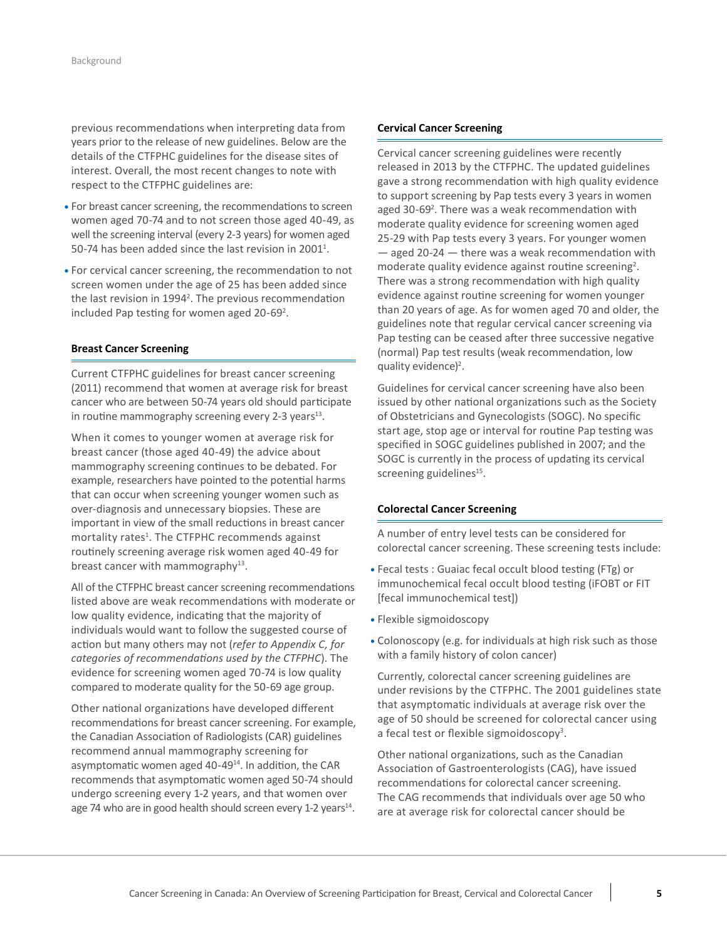previous recommendations when interpreting data from years prior to the release of new guidelines. Below are the details of the CTFPHC guidelines for the disease sites of interest. Overall, the most recent changes to note with respect to the CTFPHC guidelines are:

- For breast cancer screening, the recommendations to screen women aged 70-74 and to not screen those aged 40-49, as well the screening interval (every 2-3 years) for women aged 50-74 has been added since the last revision in 2001<sup>1</sup>.
- For cervical cancer screening, the recommendation to not screen women under the age of 25 has been added since the last revision in 1994<sup>2</sup>. The previous recommendation included Pap testing for women aged 20-69<sup>2</sup>.

#### **Breast Cancer Screening**

 Current CTFPHC guidelines for breast cancer screening (2011) recommend that women at average risk for breast cancer who are between 50-74 years old should participate in routine mammography screening every 2-3 years<sup>13</sup>.

 When it comes to younger women at average risk for breast cancer (those aged 40-49) the advice about mammography screening continues to be debated. For example, researchers have pointed to the potential harms over-diagnosis and unnecessary biopsies. These are important in view of the small reductions in breast cancer mortality rates<sup>1</sup>. The CTFPHC recommends against routinely screening average risk women aged 40-49 for breast cancer with mammography<sup>13</sup>. that can occur when screening younger women such as

 All of the CTFPHC breast cancer screening recommendations listed above are weak recommendations with moderate or low quality evidence, indicating that the majority of  action but many others may not (*refer to Appendix C, for categories of recommendations used by the CTFPHC*). The evidence for screening women aged 70-74 is low quality compared to moderate quality for the 50-69 age group. individuals would want to follow the suggested course of

 Other national organizations have developed different recommendations for breast cancer screening. For example, the Canadian Association of Radiologists (CAR) guidelines recommend annual mammography screening for asymptomatic women aged 40-49<sup>14</sup>. In addition, the CAR recommends that asymptomatic women aged 50-74 should undergo screening every 1-2 years, and that women over age 74 who are in good health should screen every 1-2 years<sup>14</sup>.

#### **Cervical Cancer Screening**

 released in 2013 by the CTFPHC. The updated guidelines gave a strong recommendation with high quality evidence to support screening by Pap tests every 3 years in women aged 30-69<sup>2</sup>. There was a weak recommendation with moderate quality evidence for screening women aged 25-29 with Pap tests every 3 years. For younger women — aged 20-24 — there was a weak recommendation with moderate quality evidence against routine screening<sup>2</sup>. There was a strong recommendation with high quality evidence against routine screening for women younger than 20 years of age. As for women aged 70 and older, the Pap testing can be ceased after three successive negative (normal) Pap test results (weak recommendation, low Cervical cancer screening guidelines were recently guidelines note that regular cervical cancer screening via quality evidence)<sup>2</sup>.

 Guidelines for cervical cancer screening have also been issued by other national organizations such as the Society of Obstetricians and Gynecologists (SOGC). No specific start age, stop age or interval for routine Pap testing was specified in SOGC guidelines published in 2007; and the SOGC is currently in the process of updating its cervical screening guidelines<sup>15</sup>.

#### **Colorectal Cancer Screening**

 A number of entry level tests can be considered for colorectal cancer screening. These screening tests include:

- **•** Fecal tests : Guaiac fecal occult blood testing (FTg) or immunochemical fecal occult blood testing (iFOBT or FIT [fecal immunochemical test])
- **•** Flexible sigmoidoscopy
- **•** Colonoscopy (e.g. for individuals at high risk such as those with a family history of colon cancer)

 Currently, colorectal cancer screening guidelines are under revisions by the CTFPHC. The 2001 guidelines state that asymptomatic individuals at average risk over the age of 50 should be screened for colorectal cancer using a fecal test or flexible sigmoidoscopy<sup>3</sup>.

 Other national organizations, such as the Canadian Association of Gastroenterologists (CAG), have issued recommendations for colorectal cancer screening. The CAG recommends that individuals over age 50 who are at average risk for colorectal cancer should be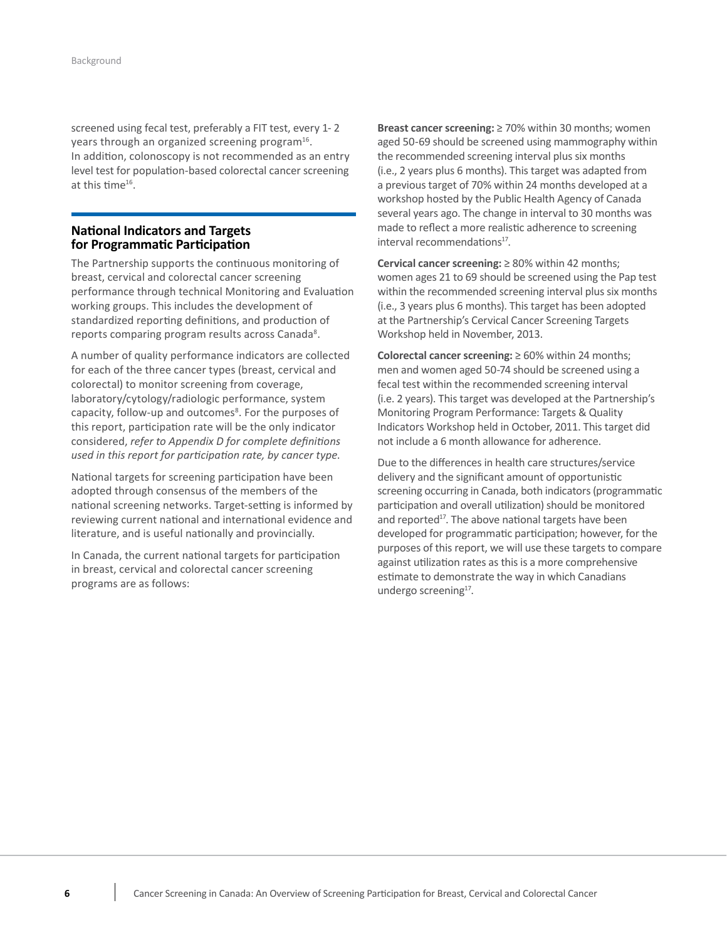<span id="page-7-0"></span> screened using fecal test, preferably a FIT test, every 1- 2 years through an organized screening program<sup>16</sup>. In addition, colonoscopy is not recommended as an entry level test for population-based colorectal cancer screening at this time<sup>16</sup>.

### **National Indicators and Targets for Programmatic Participation**

 The Partnership supports the continuous monitoring of breast, cervical and colorectal cancer screening performance through technical Monitoring and Evaluation working groups. This includes the development of standardized reporting definitions, and production of reports comparing program results across Canada<sup>8</sup>.

 A number of quality performance indicators are collected for each of the three cancer types (breast, cervical and colorectal) to monitor screening from coverage, laboratory/cytology/radiologic performance, system capacity, follow-up and outcomes<sup>8</sup>. For the purposes of this report, participation rate will be the only indicator  considered, *refer to Appendix D for complete definitions used in this report for participation rate, by cancer type*.

 National targets for screening participation have been adopted through consensus of the members of the national screening networks. Target-setting is informed by reviewing current national and international evidence and literature, and is useful nationally and provincially.

 In Canada, the current national targets for participation in breast, cervical and colorectal cancer screening programs are as follows:

**Breast cancer screening:** ≥ 70% within 30 months; women aged 50-69 should be screened using mammography within the recommended screening interval plus six months (i.e., 2 years plus 6 months). This target was adapted from a previous target of 70% within 24 months developed at a workshop hosted by the Public Health Agency of Canada several years ago. The change in interval to 30 months was made to reflect a more realistic adherence to screening interval recommendations<sup>17</sup>.

**Cervical cancer screening:** ≥ 80% within 42 months; women ages 21 to 69 should be screened using the Pap test within the recommended screening interval plus six months (i.e., 3 years plus 6 months). This target has been adopted at the Partnership's Cervical Cancer Screening Targets Workshop held in November, 2013.

**Colorectal cancer screening:** ≥ 60% within 24 months; men and women aged 50-74 should be screened using a fecal test within the recommended screening interval (i.e. 2 years). This target was developed at the Partnership's Monitoring Program Performance: Targets & Quality Indicators Workshop held in October, 2011. This target did not include a 6 month allowance for adherence.

Due to the differences in health care structures/service delivery and the significant amount of opportunistic screening occurring in Canada, both indicators (programmatic participation and overall utilization) should be monitored and reported<sup>17</sup>. The above national targets have been developed for programmatic participation; however, for the purposes of this report, we will use these targets to compare against utilization rates as this is a more comprehensive estimate to demonstrate the way in which Canadians undergo screening<sup>17</sup>.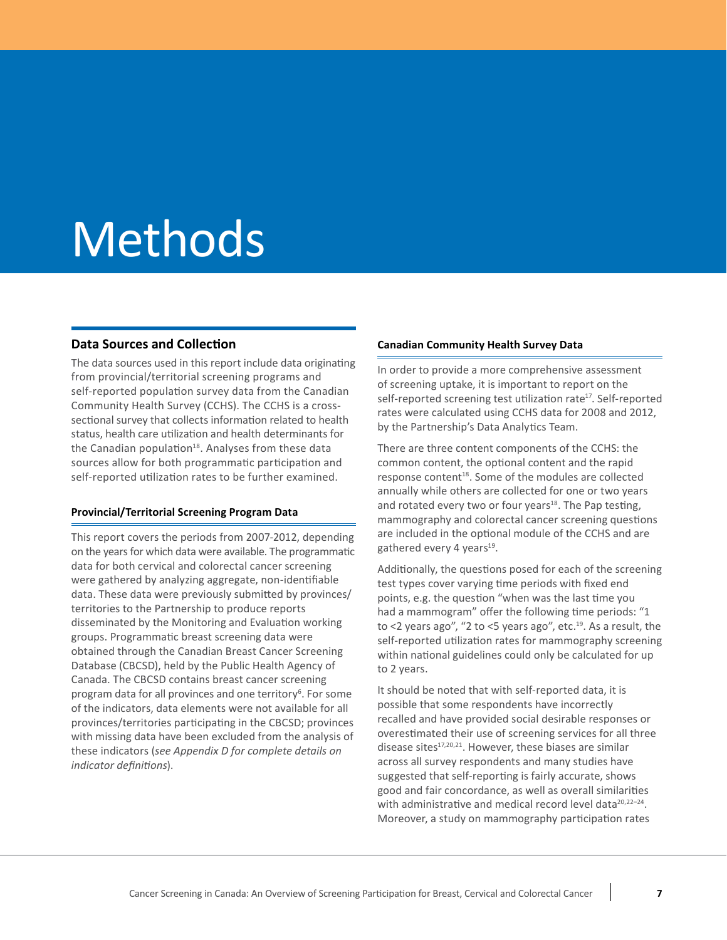# <span id="page-8-0"></span>Methods

### **Data Sources and Collection**

 The data sources used in this report include data originating from provincial/territorial screening programs and self-reported population survey data from the Canadian Community Health Survey (CCHS). The CCHS is a cross- sectional survey that collects information related to health status, health care utilization and health determinants for the Canadian population<sup>18</sup>. Analyses from these data sources allow for both programmatic participation and self-reported utilization rates to be further examined.

#### **Provincial/Territorial Screening Program Data**

 This report covers the periods from 2007-2012, depending on the years for which data were available. The programmatic data for both cervical and colorectal cancer screening were gathered by analyzing aggregate, non-identifiable data. These data were previously submitted by provinces/ territories to the Partnership to produce reports disseminated by the Monitoring and Evaluation working groups. Programmatic breast screening data were obtained through the Canadian Breast Cancer Screening Database (CBCSD), held by the Public Health Agency of Canada. The CBCSD contains breast cancer screening program data for all provinces and one territory<sup>6</sup>. For some of the indicators, data elements were not available for all provinces/territories participating in the CBCSD; provinces with missing data have been excluded from the analysis of  these indicators (*see Appendix D for complete details on indicator definitions*).

### **Canadian Community Health Survey Data**

 In order to provide a more comprehensive assessment of screening uptake, it is important to report on the self-reported screening test utilization rate<sup>17</sup>. Self-reported rates were calculated using CCHS data for 2008 and 2012, by the Partnership's Data Analytics Team.

 There are three content components of the CCHS: the common content, the optional content and the rapid response content<sup>18</sup>. Some of the modules are collected and rotated every two or four years<sup>18</sup>. The Pap testing, mammography and colorectal cancer screening questions are included in the optional module of the CCHS and are gathered every 4 years<sup>19</sup>. annually while others are collected for one or two years

 Additionally, the questions posed for each of the screening test types cover varying time periods with fixed end points, e.g. the question "when was the last time you had a mammogram" offer the following time periods: "1 to <2 years ago", "2 to <5 years ago", etc.<sup>19</sup>. As a result, the self-reported utilization rates for mammography screening within national guidelines could only be calculated for up to 2 years.

 It should be noted that with self-reported data, it is possible that some respondents have incorrectly recalled and have provided social desirable responses or overestimated their use of screening services for all three disease sites $17,20,21$ . However, these biases are similar across all survey respondents and many studies have suggested that self-reporting is fairly accurate, shows good and fair concordance, as well as overall similarities with administrative and medical record level data<sup>20,22-24</sup>. Moreover, a study on mammography participation rates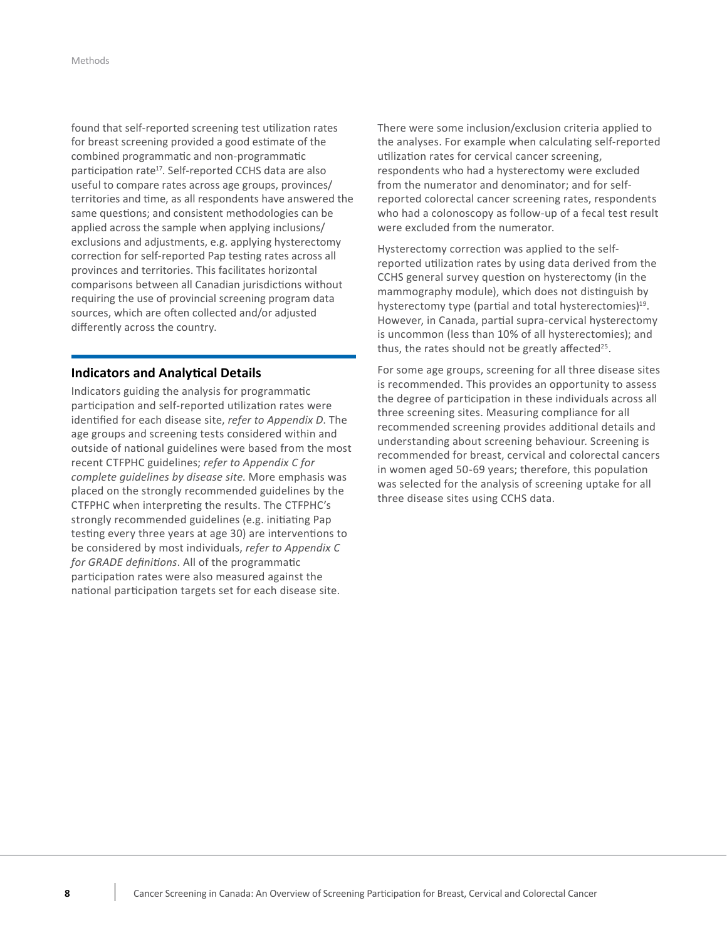<span id="page-9-0"></span>found that self-reported screening test utilization rates for breast screening provided a good estimate of the combined programmatic and non-programmatic participation rate<sup>17</sup>. Self-reported CCHS data are also useful to compare rates across age groups, provinces/ territories and time, as all respondents have answered the same questions; and consistent methodologies can be applied across the sample when applying inclusions/ exclusions and adjustments, e.g. applying hysterectomy correction for self-reported Pap testing rates across all provinces and territories. This facilitates horizontal comparisons between all Canadian jurisdictions without requiring the use of provincial screening program data sources, which are often collected and/or adjusted differently across the country. 

### **Indicators and Analytical Details**

Indicators guiding the analysis for programmatic participation and self-reported utilization rates were identified for each disease site, *refer to Appendix D*. The age groups and screening tests considered within and outside of national guidelines were based from the most recent CTFPHC guidelines; refer to Appendix C for *complete guidelines by disease site*. More emphasis was  placed on the strongly recommended guidelines by the CTFPHC when interpreting the results. The CTFPHC's strongly recommended guidelines (e.g. initiating Pap testing every three years at age 30) are interventions to be considered by most individuals, refer to Appendix C for GRADE definitions. All of the programmatic participation rates were also measured against the national participation targets set for each disease site. 

There were some inclusion/exclusion criteria applied to the analyses. For example when calculating self-reported utilization rates for cervical cancer screening, respondents who had a hysterectomy were excluded from the numerator and denominator; and for self reported colorectal cancer screening rates, respondents who had a colonoscopy as follow-up of a fecal test result were excluded from the numerator. 

Hysterectomy correction was applied to the self reported utilization rates by using data derived from the CCHS general survey question on hysterectomy (in the mammography module), which does not distinguish by hysterectomy type (partial and total hysterectomies)<sup>19</sup>. However, in Canada, partial supra-cervical hysterectomy is uncommon (less than 10% of all hysterectomies); and thus, the rates should not be greatly affected<sup>25</sup>.

For some age groups, screening for all three disease sites is recommended. This provides an opportunity to assess the degree of participation in these individuals across all three screening sites. Measuring compliance for all recommended screening provides additional details and understanding about screening behaviour. Screening is recommended for breast, cervical and colorectal cancers in women aged 50-69 years; therefore, this population was selected for the analysis of screening uptake for all three disease sites using CCHS data.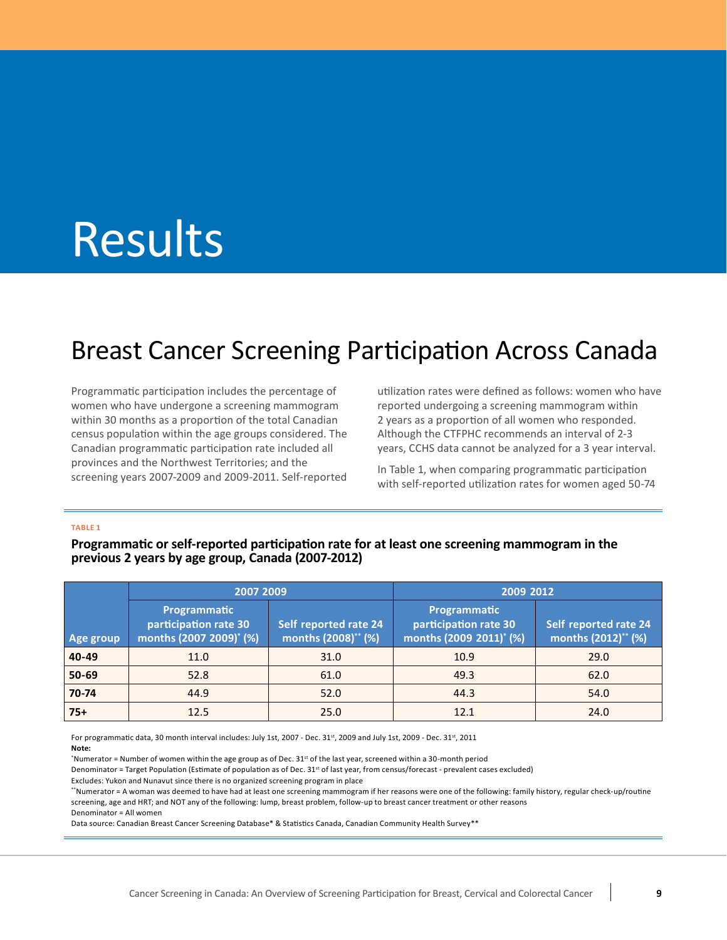# <span id="page-10-0"></span>**Results**

# Breast Cancer Screening Participation Across Canada

Programmatic participation includes the percentage of within 30 months as a proportion of the total Canadian 2 years as a proportion of all women who responded. census population within the age groups considered. The Although the CTFPHC recommends an interval of 2-3 Canadian programmatic participation rate included all provinces and the Northwest Territories; and the provinces and the Northwest Territories; and the In [Table](#page-10-1) 1, when comparing programmatic participation<br>Screening years 2007-2009 and 2009-2011. Self-reported with self-reported utilization rates for women aged 50-74 Canadian programmatic participation rate included all years, CCHS data cannot be analyzed for a 3 year interval. women who have undergone a screening mammogram

Programmatic participation includes the percentage of utilization rates were defined as follows: women who have reported undergoing a screening mammogram within 2 years as a proportion of all women who responded. Although the CTFPHC recommends an interval of 2-3

> In Table 1, when comparing programmatic participation with self-reported utilization rates for women aged 50-74

#### <span id="page-10-1"></span>**TABLE 1**

Programmatic or self-reported participation rate for at least one screening mammogram in the  **previous 2 years by age group, Canada (2007-2012)**

|           | 2007 2009                                                                                                                    |      | 2009 2012                                                                    |                                              |  |
|-----------|------------------------------------------------------------------------------------------------------------------------------|------|------------------------------------------------------------------------------|----------------------------------------------|--|
| Age group | Programmatic<br>participation rate 30<br>Self reported rate 24<br>months (2007 2009) <sup>*</sup> (%)<br>months (2008)** (%) |      | Programmatic<br>participation rate 30<br>months (2009 2011) <sup>*</sup> (%) | Self reported rate 24<br>months (2012)** (%) |  |
| 40-49     | 11.0                                                                                                                         | 31.0 | 10.9                                                                         | 29.0                                         |  |
| 50-69     | 52.8                                                                                                                         | 61.0 | 49.3                                                                         | 62.0                                         |  |
| 70-74     | 44.9                                                                                                                         | 52.0 | 44.3                                                                         | 54.0                                         |  |
| $75+$     | 12.5                                                                                                                         | 25.0 | 12.1                                                                         | 24.0                                         |  |

For programmatic data, 30 month interval includes: July 1st, 2007 - Dec. 31st, 2009 and July 1st, 2009 - Dec. 31st, 2011 **Note:**

\*Numerator = Number of women within the age group as of Dec. 31st of the last year, screened within a 30-month period

Denominator = Target Population (Estimate of population as of Dec. 31<sup>st</sup> of last year, from census/forecast - prevalent cases excluded)

 Excludes: Yukon and Nunavut since there is no organized screening program in place

 \*\*Numerator = A woman was deemed to have had at least one screening mammogram if her reasons were one of the following: family history, regular check-up/routine screening, age and HRT; and NOT any of the following: lump, breast problem, follow-up to breast cancer treatment or other reasons Denominator = All women

 Data source: Canadian Breast Cancer Screening Database\* & Statistics Canada, Canadian Community Health Survey\*\*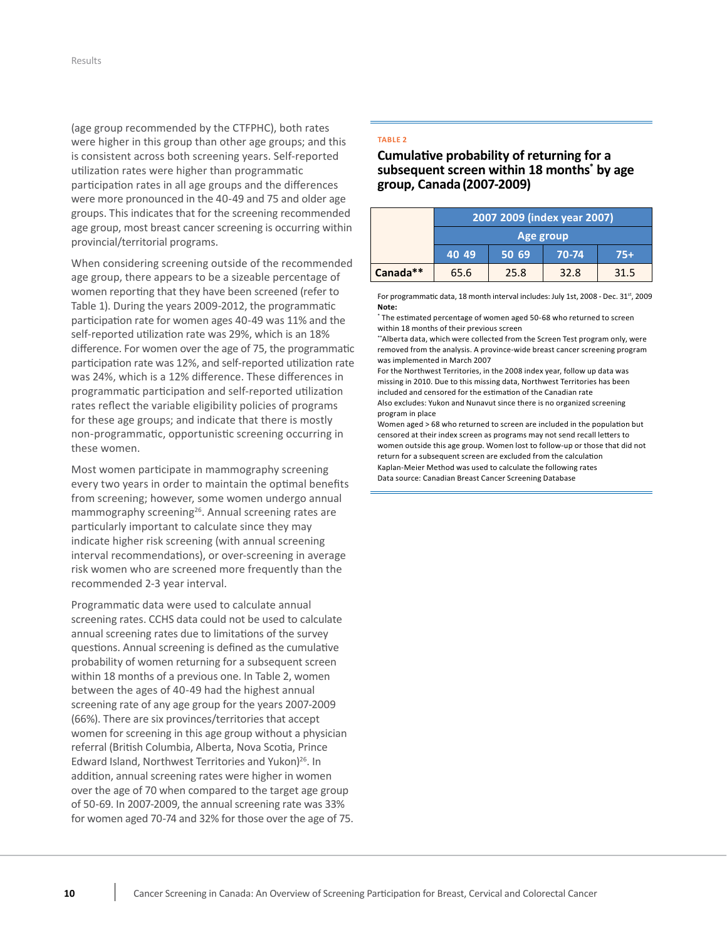(age group recommended by the CTFPHC), both rates were higher in this group than other age groups; and this is consistent across both screening years. Self-reported utilization rates were higher than programmatic participation rates in all age groups and the differences were more pronounced in the 40-49 and 75 and older age groups. This indicates that for the screening recommended age group, most breast cancer screening is occurring within provincial/territorial programs.

 When considering screening outside of the recommended age group, there appears to be a sizeable percentage of women reporting that they have been screened (refer to [Table](#page-10-1) 1). During the years 2009-2012, the programmatic participation rate for women ages 40-49 was 11% and the self-reported utilization rate was 29%, which is an 18% difference. For women over the age of 75, the programmatic participation rate was 12%, and self-reported utilization rate was 24%, which is a 12% difference. These differences in programmatic participation and self-reported utilization rates reflect the variable eligibility policies of programs for these age groups; and indicate that there is mostly non-programmatic, opportunistic screening occurring in these women.

 Most women participate in mammography screening every two years in order to maintain the optimal benefits from screening; however, some women undergo annual mammography screening<sup>26</sup>. Annual screening rates are particularly important to calculate since they may indicate higher risk screening (with annual screening interval recommendations), or over-screening in average risk women who are screened more frequently than the recommended 2-3 year interval.

 Programmatic data were used to calculate annual screening rates. CCHS data could not be used to calculate annual screening rates due to limitations of the survey questions. Annual screening is defined as the cumulative probability of women returning for a subsequent screen  within 18 months of a previous one. In Table 2, women between the ages of 40-49 had the highest annual screening rate of any age group for the years 2007-2009 (66%). There are six provinces/territories that accept women for screening in this age group without a physician referral (British Columbia, Alberta, Nova Scotia, Prince Edward Island, Northwest Territories and Yukon)<sup>26</sup>. In addition, annual screening rates were higher in women over the age of 70 when compared to the target age group of 50-69. In 2007-2009, the annual screening rate was 33% for women aged 70-74 and 32% for those over the age of 75.

#### <span id="page-11-0"></span>**TABLE 2**

 **Cumulative probability of returning for a subsequent screen within 18 months\* by age group, Canada(2007-2009)**

|          | 2007 2009 (index year 2007)      |      |      |      |  |  |
|----------|----------------------------------|------|------|------|--|--|
|          | Age group                        |      |      |      |  |  |
|          | 50 69<br>40 49<br>70-74<br>$75+$ |      |      |      |  |  |
| Canada** | 65.6                             | 25.8 | 32.8 | 31.5 |  |  |

For programmatic data, 18 month interval includes: July 1st, 2008 - Dec. 31<sup>st</sup>, 2009 **Note:**

 \* The estimated percentage of women aged 50-68 who returned to screen within 18 months of their previous screen

 \*\*Alberta data, which were collected from the Screen Test program only, were removed from the analysis. A province-wide breast cancer screening program was implemented in March 2007

 For the Northwest Territories, in the 2008 index year, follow up data was missing in 2010. Due to this missing data, Northwest Territories has been included and censored for the estimation of the Canadian rate Also excludes: Yukon and Nunavut since there is no organized screening program in place

 Women aged > 68 who returned to screen are included in the population but censored at their index screen as programs may not send recall letters to women outside this age group. Women lost to follow-up or those that did not return for a subsequent screen are excluded from the calculation Kaplan-Meier Method was used to calculate the following rates Data source: Canadian Breast Cancer Screening Database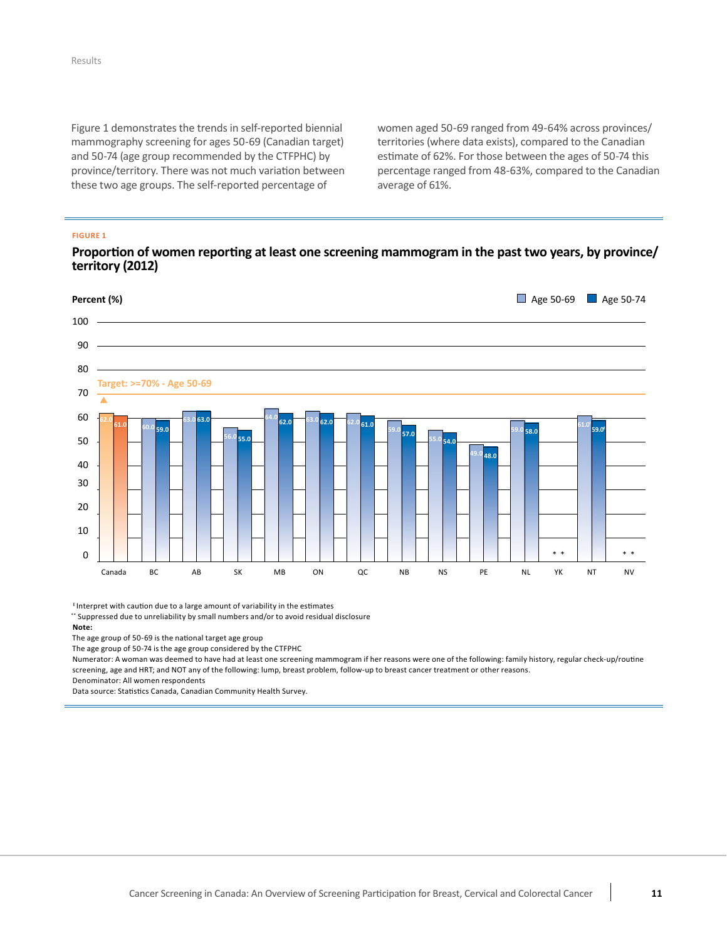[Figure](#page-12-0) 1 demonstrates the trends in self-reported biennial mammography screening for ages 50-69 (Canadian target) and 50-74 (age group recommended by the CTFPHC) by province/territory. There was not much variation between these two age groups. The self-reported percentage of

 women aged 50-69 ranged from 49-64% across provinces/ territories (where data exists), compared to the Canadian estimate of 62%. For those between the ages of 50-74 this percentage ranged from 48-63%, compared to the Canadian average of 61%.

### <span id="page-12-0"></span>**FIGURE 1**

### Proportion of women reporting at least one screening mammogram in the past two years, by province/ **territory (2012)**



 $E$ Interpret with caution due to a large amount of variability in the estimates

\*\* Suppressed due to unreliability by small numbers and/or to avoid residual disclosure

#### **Note:**

The age group of 50-69 is the national target age group

The age group of 50-74 is the age group considered by the CTFPHC

Numerator: A woman was deemed to have had at least one screening mammogram if her reasons were one of the following: family history, regular check-up/routine screening, age and HRT; and NOT any of the following: lump, breast problem, follow-up to breast cancer treatment or other reasons. Denominator: All women respondents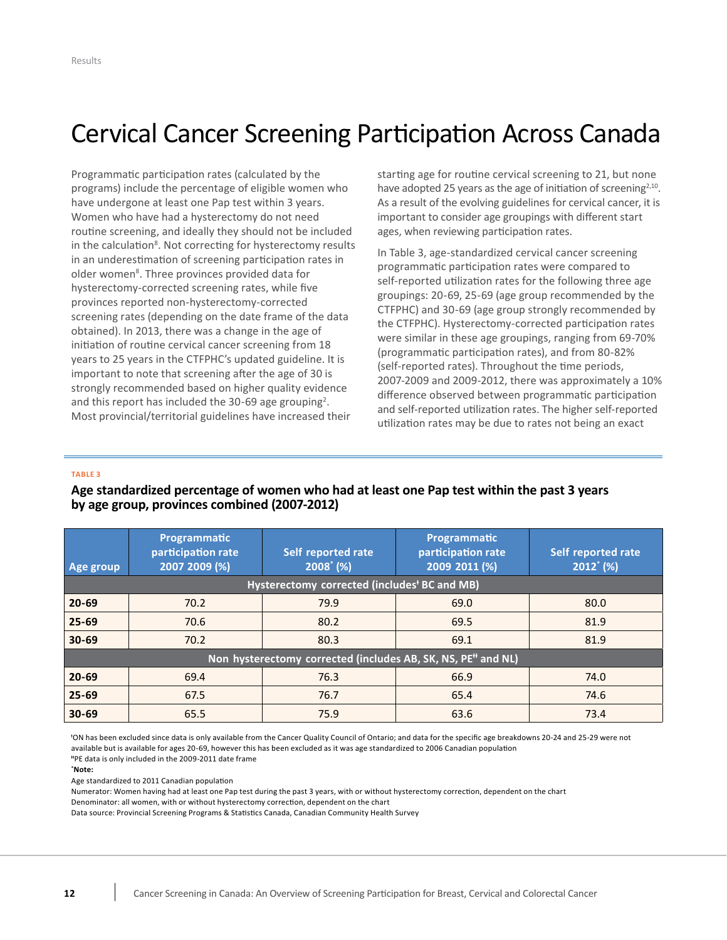# <span id="page-13-0"></span>Cervical Cancer Screening Participation Across Canada

 Programmatic participation rates (calculated by the programs) include the percentage of eligible women who have undergone at least one Pap test within 3 years. Women who have had a hysterectomy do not need routine screening, and ideally they should not be included in the calculation<sup>8</sup>. Not correcting for hysterectomy results in an underestimation of screening participation rates in older women<sup>8</sup>. Three provinces provided data for hysterectomy-corrected screening rates, while five provinces reported non-hysterectomy-corrected screening rates (depending on the date frame of the data obtained). In 2013, there was a change in the age of initiation of routine cervical cancer screening from 18 years to 25 years in the CTFPHC's updated guideline. It is important to note that screening after the age of 30 is strongly recommended based on higher quality evidence and this report has included the 30-69 age grouping<sup>2</sup>. Most provincial/territorial guidelines have increased their

 starting age for routine cervical screening to 21, but none have adopted 25 years as the age of initiation of screening $2,10$ . As a result of the evolving guidelines for cervical cancer, it is important to consider age groupings with different start ages, when reviewing participation rates.

 In [Table](#page-13-1) 3, age-standardized cervical cancer screening programmatic participation rates were compared to self-reported utilization rates for the following three age groupings: 20-69, 25-69 (age group recommended by the CTFPHC) and 30-69 (age group strongly recommended by the CTFPHC). Hysterectomy-corrected participation rates were similar in these age groupings, ranging from 69-70% (programmatic participation rates), and from 80-82% (self-reported rates). Throughout the time periods, 2007-2009 and 2009-2012, there was approximately a 10% difference observed between programmatic participation and self-reported utilization rates. The higher self-reported utilization rates may be due to rates not being an exact

#### <span id="page-13-1"></span>**TABLE 3**

## Age standardized percentage of women who had at least one Pap test within the past 3 years  **by age group, provinces combined (2007-2012)**

| Age group | Programmatic<br>participation rate<br>2007 2009 (%) | Self reported rate<br>$2008^{\circ}$ (%)                                 | Programmatic<br>participation rate<br>2009 2011 (%) | Self reported rate<br>$2012^*(%$ |
|-----------|-----------------------------------------------------|--------------------------------------------------------------------------|-----------------------------------------------------|----------------------------------|
|           |                                                     | Hysterectomy corrected (includes <sup>†</sup> BC and MB)                 |                                                     |                                  |
| $20 - 69$ | 70.2                                                | 79.9                                                                     | 69.0                                                | 80.0                             |
| $25 - 69$ | 70.6                                                | 80.2                                                                     | 69.5                                                | 81.9                             |
| $30 - 69$ | 70.2                                                | 80.3                                                                     | 69.1                                                | 81.9                             |
|           |                                                     | Non hysterectomy corrected (includes AB, SK, NS, PE <sup>#</sup> and NL) |                                                     |                                  |
| $20 - 69$ | 69.4                                                | 76.3                                                                     | 66.9                                                | 74.0                             |
| $25 - 69$ | 67.5                                                | 76.7                                                                     | 65.4                                                | 74.6                             |
| $30 - 69$ | 65.5                                                | 75.9                                                                     | 63.6                                                | 73.4                             |

 ⱡ ON has been excluded since data is only available from the Cancer Quality Council of Ontario; and data for the specific age breakdowns 20-24 and 25-29 were not available but is available for ages 20-69, however this has been excluded as it was age standardized to 2006 Canadian population

 ⱡⱡPE data is only included in the 2009-2011 date frame

#### **\* Note:**

 Age standardized to 2011 Canadian population

 Numerator: Women having had at least one Pap test during the past 3 years, with or without hysterectomy correction, dependent on the chart

 Denominator: all women, with or without hysterectomy correction, dependent on the chart

 Data source: Provincial Screening Programs & Statistics Canada, Canadian Community Health Survey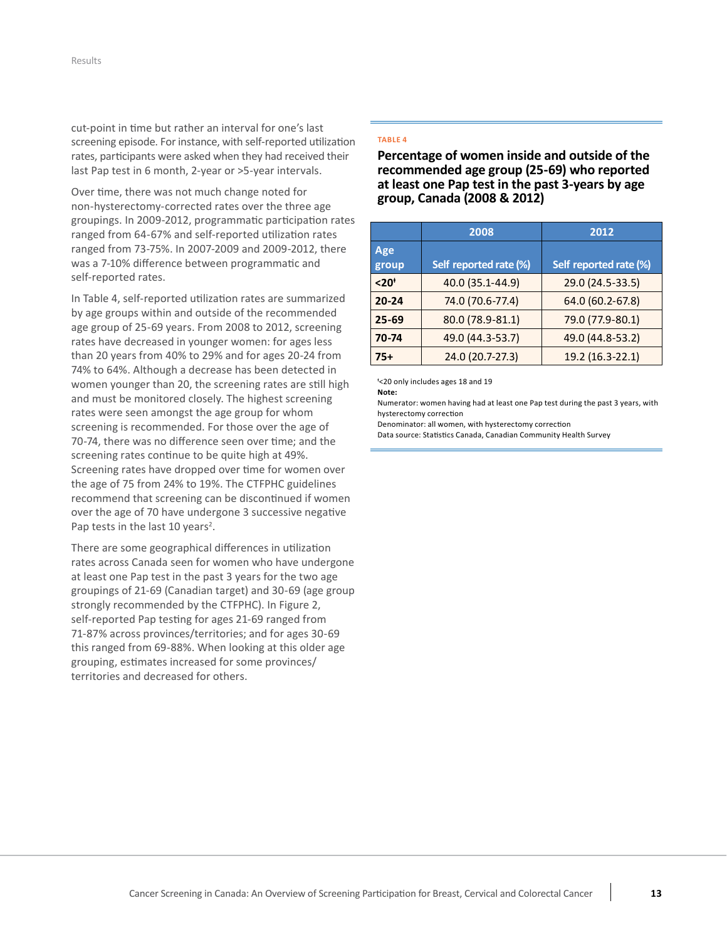cut-point in time but rather an interval for one's last screening episode. For instance, with self-reported utilization rates, participants were asked when they had received their last Pap test in 6 month, 2-year or >5-year intervals.

 Over time, there was not much change noted for non-hysterectomy-corrected rates over the three age groupings. In 2009-2012, programmatic participation rates ranged from 64-67% and self-reported utilization rates ranged from 73-75%. In 2007-2009 and 2009-2012, there was a 7-10% difference between programmatic and self-reported rates.

 In [Table](#page-14-0) 4, self-reported utilization rates are summarized by age groups within and outside of the recommended age group of 25-69 years. From 2008 to 2012, screening rates have decreased in younger women: for ages less than 20 years from 40% to 29% and for ages 20-24 from 74% to 64%. Although a decrease has been detected in women younger than 20, the screening rates are still high and must be monitored closely. The highest screening rates were seen amongst the age group for whom screening is recommended. For those over the age of 70-74, there was no difference seen over time; and the screening rates continue to be quite high at 49%. Screening rates have dropped over time for women over the age of 75 from 24% to 19%. The CTFPHC guidelines recommend that screening can be discontinued if women over the age of 70 have undergone 3 successive negative Pap tests in the last 10 years<sup>2</sup>.

 There are some geographical differences in utilization at least one Pap test in the past 3 years for the two age groupings of 21-69 (Canadian target) and 30-69 (age group  strongly recommended by the CTFPHC). In Figure 2, self-reported Pap testing for ages 21-69 ranged from 71-87% across provinces/territories; and for ages 30-69 this ranged from 69-88%. When looking at this older age grouping, estimates increased for some provinces/ territories and decreased for others. rates across Canada seen for women who have undergone

#### <span id="page-14-0"></span>**TABLE 4**

 **Percentage of women inside and outside of the recommended age group (25-69) who reported at least one Pap test in the past 3-years by age group, Canada (2008 & 2012)**

|              | 2008                   | 2012                   |
|--------------|------------------------|------------------------|
| Age<br>group | Self reported rate (%) | Self reported rate (%) |
| $< 20+$      | 40.0 (35.1-44.9)       | 29.0 (24.5-33.5)       |
| $20 - 24$    | 74.0 (70.6-77.4)       | 64.0 (60.2-67.8)       |
| $25 - 69$    | 80.0 (78.9-81.1)       | 79.0 (77.9-80.1)       |
| 70-74        | 49.0 (44.3-53.7)       | 49.0 (44.8-53.2)       |
| $75+$        | 24.0 (20.7-27.3)       | 19.2 (16.3-22.1)       |

ⱡ <20 only includes ages 18 and 19

**Note:**

 hysterectomy correction Numerator: women having had at least one Pap test during the past 3 years, with

Denominator: all women, with hysterectomy correction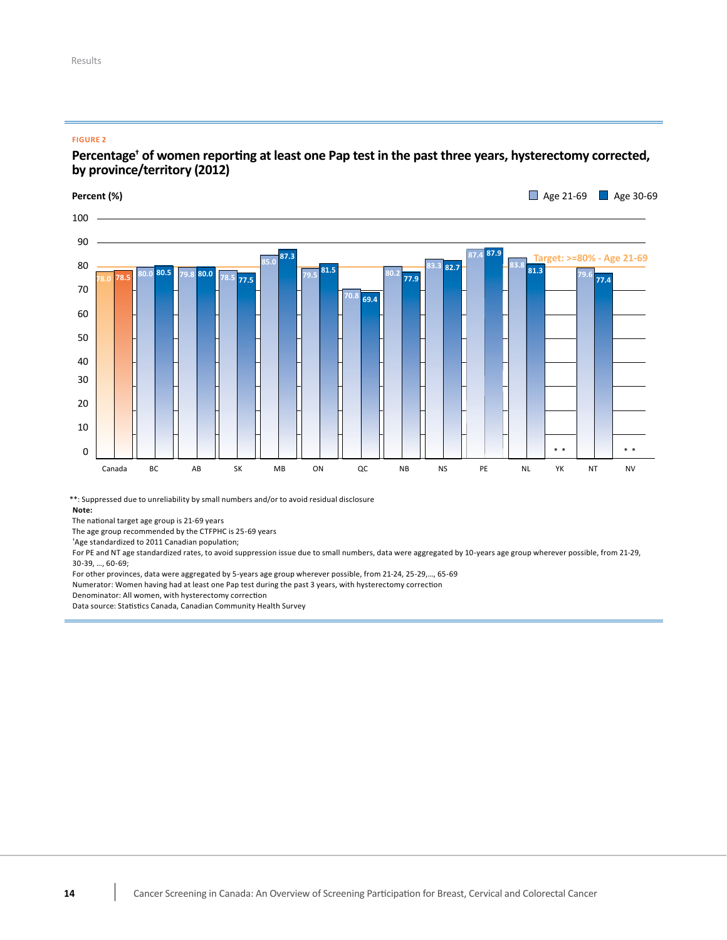### <span id="page-15-0"></span>**FIGURE 2**

## Percentage<sup>†</sup> of women reporting at least one Pap test in the past three years, hysterectomy corrected, **by province/territory (2012)**

**Percent (%) Age 21-69 Age 30-69 Age 30-69** 



\*\*: Suppressed due to unreliability by small numbers and/or to avoid residual disclosure

**Note:**

The national target age group is 21-69 years

The age group recommended by the CTFPHC is 25-69 years

\*Age standardized to 2011 Canadian population;

For PE and NT age standardized rates, to avoid suppression issue due to small numbers, data were aggregated by 10-years age group wherever possible, from 21-29, 30-39, ..., 60-69;

For other provinces, data were aggregated by 5-years age group wherever possible, from 21-24, 25-29,..., 65-69

Numerator: Women having had at least one Pap test during the past 3 years, with hysterectomy correction

Denominator: All women, with hysterectomy correction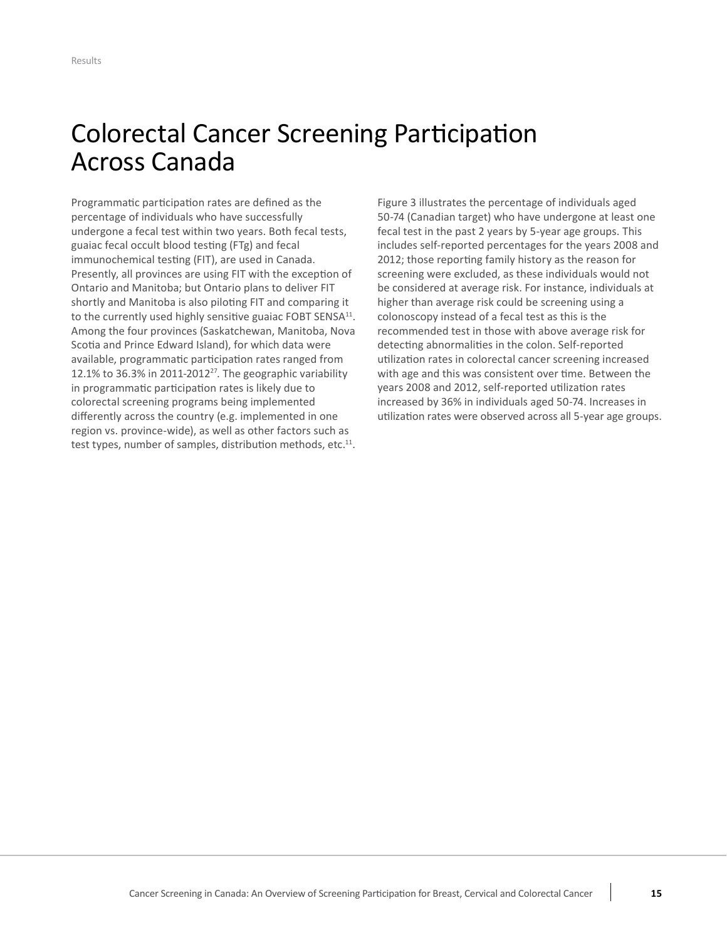# <span id="page-16-0"></span>Colorectal Cancer Screening Participation Across Canada

Programmatic participation rates are defined as the percentage of individuals who have successfully undergone a fecal test within two years. Both fecal tests, guaiac fecal occult blood testing (FTg) and fecal immunochemical testing (FIT), are used in Canada. Presently, all provinces are using FIT with the exception of Ontario and Manitoba; but Ontario plans to deliver FIT shortly and Manitoba is also piloting FIT and comparing it to the currently used highly sensitive guaiac FOBT SENSA<sup>11</sup>. Among the four provinces (Saskatchewan, Manitoba, Nova Scotia and Prince Edward Island), for which data were available, programmatic participation rates ranged from 12.1% to 36.3% in 2011-2012 $^{27}$ . The geographic variability in programmatic participation rates is likely due to colorectal screening programs being implemented differently across the country (e.g. implemented in one region vs. province-wide), as well as other factors such as test types, number of samples, distribution methods, etc.<sup>11</sup>.

[Figure](#page-17-0) 3 illustrates the percentage of individuals aged 50-74 (Canadian target) who have undergone at least one fecal test in the past 2 years by 5-year age groups. This includes self-reported percentages for the years 2008 and 2012; those reporting family history as the reason for screening were excluded, as these individuals would not be considered at average risk. For instance, individuals at higher than average risk could be screening using a colonoscopy instead of a fecal test as this is the recommended test in those with above average risk for detecting abnormalities in the colon. Self-reported utilization rates in colorectal cancer screening increased with age and this was consistent over time. Between the years 2008 and 2012, self-reported utilization rates increased by 36% in individuals aged 50-74. Increases in utilization rates were observed across all 5-year age groups.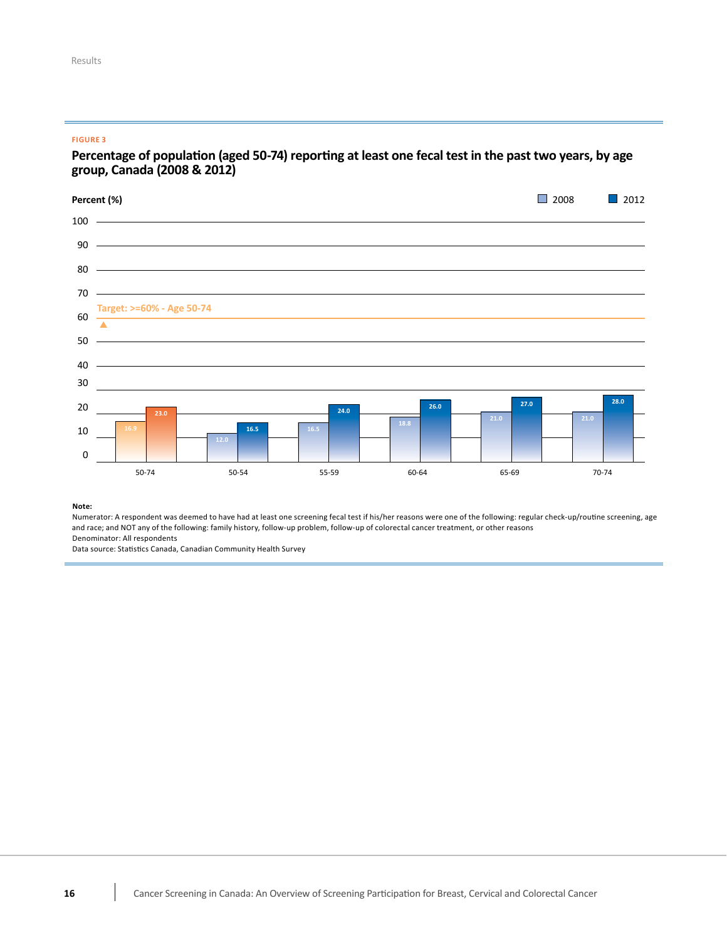#### <span id="page-17-0"></span>**FIGURE 3**

## Percentage of population (aged 50-74) reporting at least one fecal test in the past two years, by age<br>group, Canada (2008 & 2012) **group, Canada (2008 & 2012)**



#### **Note:**

Numerator: A respondent was deemed to have had at least one screening fecal test if his/her reasons were one of the following: regular check-up/routine screening, age and race; and NOT any of the following: family history, follow-up problem, follow-up of colorectal cancer treatment, or other reasons Denominator: All respondents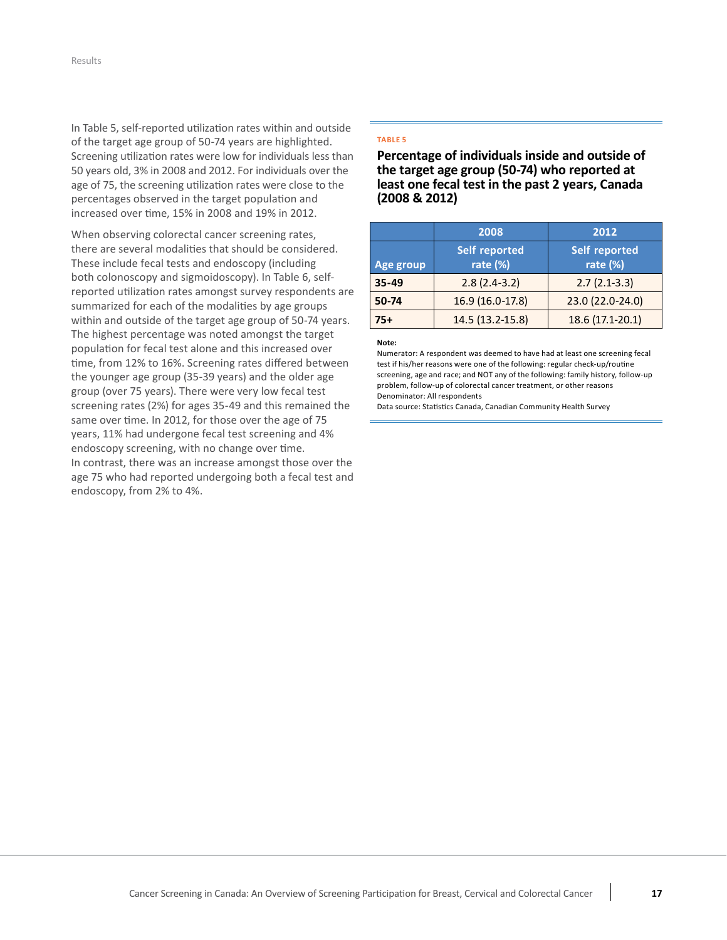In [Table](#page-18-0) 5, self-reported utilization rates within and outside of the target age group of 50-74 years are highlighted. Screening utilization rates were low for individuals less than 50 years old, 3% in 2008 and 2012. For individuals over the age of 75, the screening utilization rates were close to the percentages observed in the target population and increased over time, 15% in 2008 and 19% in 2012.

 When observing colorectal cancer screening rates, there are several modalities that should be considered. These include fecal tests and endoscopy (including  both colonoscopy and sigmoidoscopy). In Table 6, self- reported utilization rates amongst survey respondents are summarized for each of the modalities by age groups within and outside of the target age group of 50-74 years. The highest percentage was noted amongst the target population for fecal test alone and this increased over time, from 12% to 16%. Screening rates differed between the younger age group (35-39 years) and the older age group (over 75 years). There were very low fecal test screening rates (2%) for ages 35-49 and this remained the same over time. In 2012, for those over the age of 75 years, 11% had undergone fecal test screening and 4% endoscopy screening, with no change over time. In contrast, there was an increase amongst those over the age 75 who had reported undergoing both a fecal test and endoscopy, from 2% to 4%.

#### <span id="page-18-0"></span>**TABLE 5**

 **Percentage of individuals inside and outside of the target age group (50-74) who reported at least one fecal test in the past 2 years, Canada (2008 & 2012)**

|           | 2008                      | 2012                             |
|-----------|---------------------------|----------------------------------|
| Age group | Self reported<br>rate (%) | <b>Self reported</b><br>rate (%) |
| $35 - 49$ | $2.8(2.4-3.2)$            | $2.7(2.1-3.3)$                   |
| $50 - 74$ | 16.9 (16.0-17.8)          | 23.0 (22.0-24.0)                 |
| 75+       | 14.5 (13.2-15.8)          | 18.6 (17.1-20.1)                 |

#### **Note:**

 Numerator: A respondent was deemed to have had at least one screening fecal test if his/her reasons were one of the following: regular check-up/routine screening, age and race; and NOT any of the following: family history, follow-up problem, follow-up of colorectal cancer treatment, or other reasons Denominator: All respondents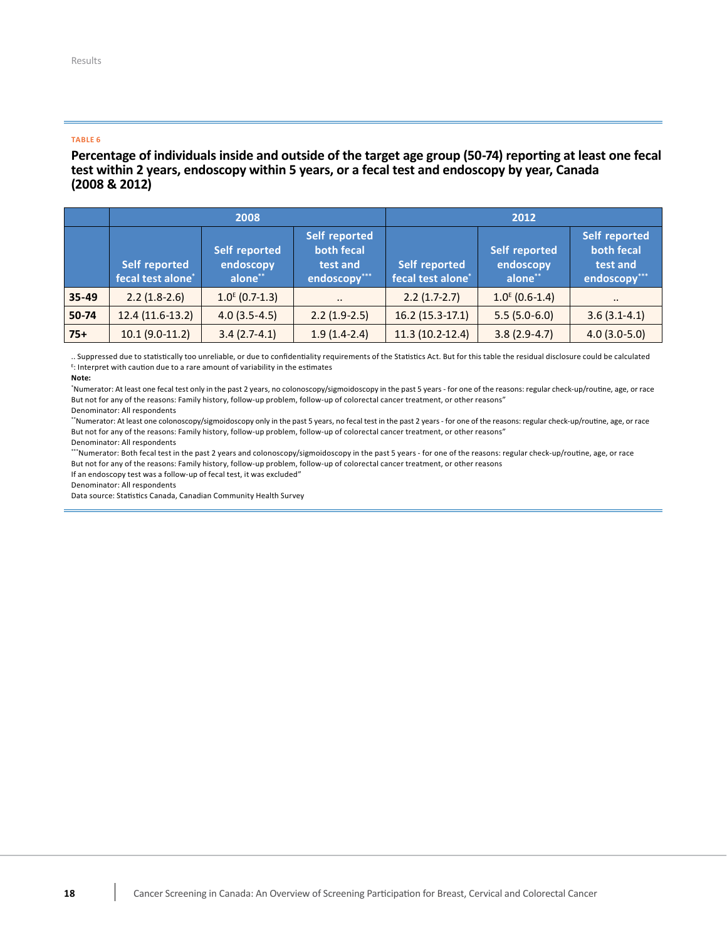#### <span id="page-19-0"></span>**TABLE 6**

### Percentage of individuals inside and outside of the target age group (50-74) reporting at least one fecal test within 2 years, endoscopy within 5 years, or a fecal test and endoscopy by year, Canada  **(2008 & 2012)**

|       | 2008                               |                                       |                                                         | 2012                                      |                                              |                                                         |
|-------|------------------------------------|---------------------------------------|---------------------------------------------------------|-------------------------------------------|----------------------------------------------|---------------------------------------------------------|
|       | Self reported<br>fecal test alone* | Self reported<br>endoscopy<br>alone** | Self reported<br>both fecal<br>test and<br>endoscopy*** | <b>Self reported</b><br>fecal test alone* | <b>Self reported</b><br>endoscopy<br>alone** | Self reported<br>both fecal<br>test and<br>endoscopy*** |
| 35-49 | $2.2(1.8-2.6)$                     | $1.0^{E}$ (0.7-1.3)                   | $\bullet$ $\bullet$                                     | $2.2(1.7-2.7)$                            | $1.0^{E}$ (0.6-1.4)                          | $\cdot$ .                                               |
| 50-74 | $12.4(11.6-13.2)$                  | $4.0(3.5-4.5)$                        | $2.2(1.9-2.5)$                                          | $16.2(15.3-17.1)$                         | $5.5(5.0-6.0)$                               | $3.6(3.1-4.1)$                                          |
| $75+$ | $10.1 (9.0 - 11.2)$                | $3.4(2.7-4.1)$                        | $1.9(1.4-2.4)$                                          | $11.3(10.2-12.4)$                         | $3.8(2.9-4.7)$                               | $4.0(3.0-5.0)$                                          |

 .. Suppressed due to statistically too unreliable, or due to confidentiality requirements of the Statistics Act. But for this table the residual disclosure could be calculated <sup>E</sup>: Interpret with caution due to a rare amount of variability in the estimates

#### **Note:**

 \* Numerator: At least one fecal test only in the past 2 years, no colonoscopy/sigmoidoscopy in the past 5 years - for one of the reasons: regular check-up/routine, age, or race But not for any of the reasons: Family history, follow-up problem, follow-up of colorectal cancer treatment, or other reasons" Denominator: All respondents

 \*\*Numerator: At least one colonoscopy/sigmoidoscopy only in the past 5 years, no fecal test in the past 2 years - for one of the reasons: regular check-up/routine, age, or race But not for any of the reasons: Family history, follow-up problem, follow-up of colorectal cancer treatment, or other reasons" 

 Denominator: All respondents

\*\*\*Numerator: Both fecal test in the past 2 years and colonoscopy/sigmoidoscopy in the past 5 years - for one of the reasons: regular check-up/routine, age, or race But not for any of the reasons: Family history, follow-up problem, follow-up of colorectal cancer treatment, or other reasons

 If an endoscopy test was a follow-up of fecal test, it was excluded" 

 Denominator: All respondents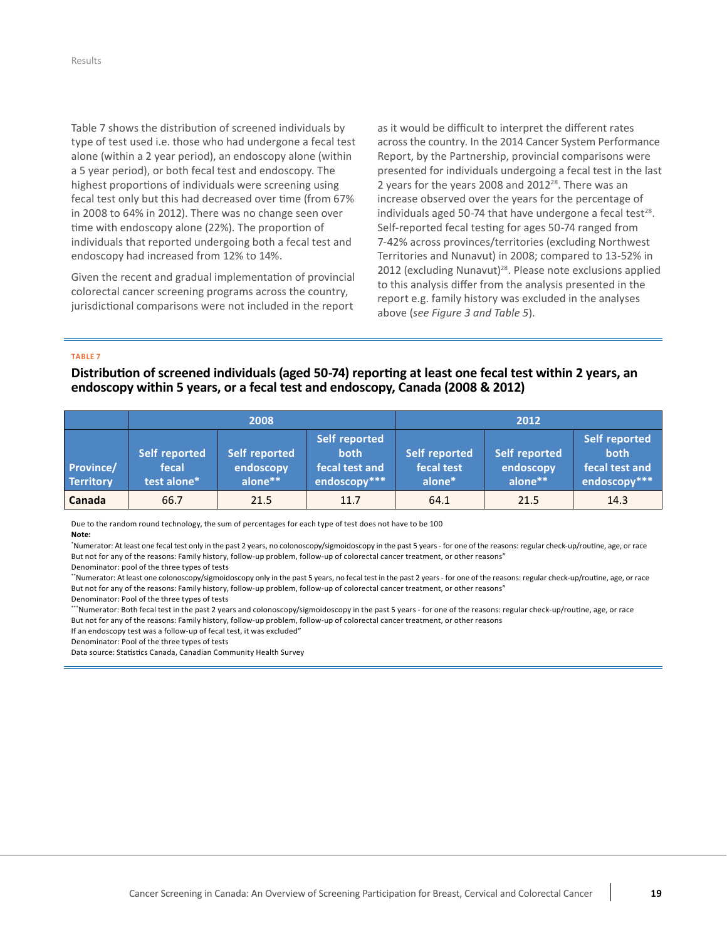Table 7 shows the distribution of screened individuals by type of test used i.e. those who had undergone a fecal test alone (within a 2 year period), an endoscopy alone (within a 5 year period), or both fecal test and endoscopy. The highest proportions of individuals were screening using fecal test only but this had decreased over time (from 67%) in 2008 to 64% in 2012). There was no change seen over time with endoscopy alone (22%). The proportion of individuals that reported undergoing both a fecal test and endoscopy had increased from 12% to 14%.

Given the recent and gradual implementation of provincial colorectal cancer screening programs across the country, jurisdictional comparisons were not included in the report  as it would be difficult to interpret the different rates across the country. In the 2014 Cancer System Performance Report, by the Partnership, provincial comparisons were presented for individuals undergoing a fecal test in the last 2 years for the years 2008 and 2012 $28$ . There was an increase observed over the years for the percentage of individuals aged 50-74 that have undergone a fecal test<sup>28</sup>. Self-reported fecal testing for ages 50-74 ranged from 7-42% across provinces/territories (excluding Northwest Territories and Nunavut) in 2008; compared to 13-52% in 2012 (excluding Nunavut)<sup>28</sup>. Please note exclusions applied to this analysis differ from the analysis presented in the report e.g. family history was excluded in the analyses above (*see [Figure](#page-17-0) 3 and [Table](#page-18-0) 5*).

#### <span id="page-20-0"></span>**TABLE 7**

Distribution of screened individuals (aged 50-74) reporting at least one fecal test within 2 years, an  **endoscopy within 5 years, or a fecal test and endoscopy, Canada (2008 & 2012)**

|                               | 2008                                  |                                       |                                                                | 2012                                  |                                       |                                                                |
|-------------------------------|---------------------------------------|---------------------------------------|----------------------------------------------------------------|---------------------------------------|---------------------------------------|----------------------------------------------------------------|
| Province/<br><b>Territory</b> | Self reported<br>fecal<br>test alone* | Self reported<br>endoscopy<br>alone** | Self reported<br><b>both</b><br>fecal test and<br>endoscopy*** | Self reported<br>fecal test<br>alone* | Self reported<br>endoscopy<br>alone** | Self reported<br><b>both</b><br>fecal test and<br>endoscopy*** |
| Canada                        | 66.7                                  | 21.5                                  | 11.7                                                           | 64.1                                  | 21.5                                  | 14.3                                                           |

 Due to the random round technology, the sum of percentages for each type of test does not have to be 100 **Note:**

 \* Numerator: At least one fecal test only in the past 2 years, no colonoscopy/sigmoidoscopy in the past 5 years - for one of the reasons: regular check-up/routine, age, or race But not for any of the reasons: Family history, follow-up problem, follow-up of colorectal cancer treatment, or other reasons" Denominator: pool of the three types of tests 

 \*\*Numerator: At least one colonoscopy/sigmoidoscopy only in the past 5 years, no fecal test in the past 2 years - for one of the reasons: regular check-up/routine, age, or race But not for any of the reasons: Family history, follow-up problem, follow-up of colorectal cancer treatment, or other reasons" 

 Denominator: Pool of the three types of tests 

\*\*\*Numerator: Both fecal test in the past 2 years and colonoscopy/sigmoidoscopy in the past 5 years - for one of the reasons: regular check-up/routine, age, or race But not for any of the reasons: Family history, follow-up problem, follow-up of colorectal cancer treatment, or other reasons

 If an endoscopy test was a follow-up of fecal test, it was excluded" 

 Denominator: Pool of the three types of tests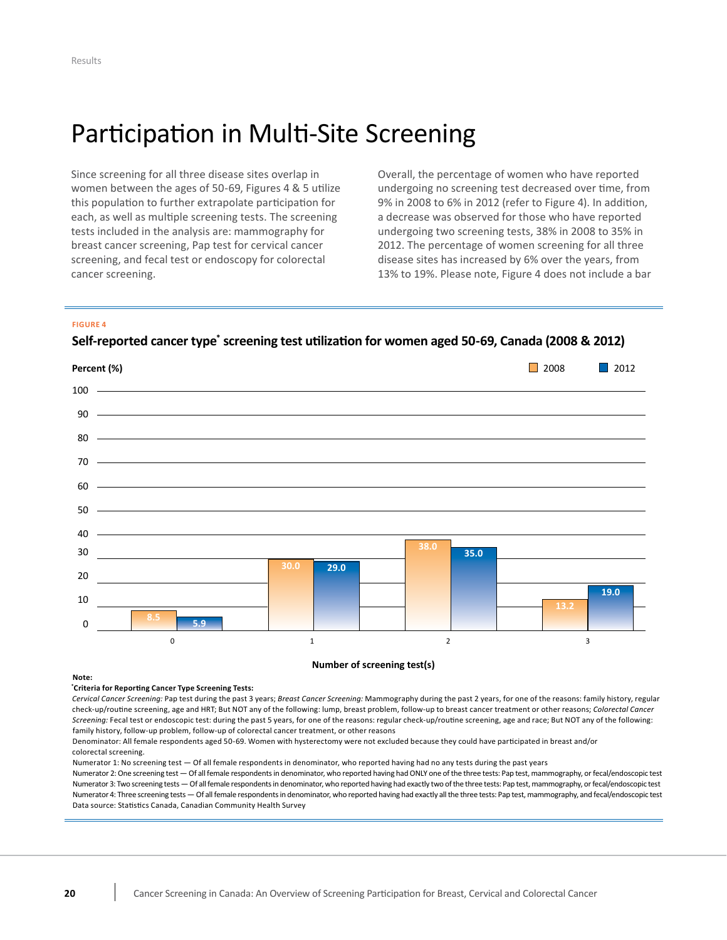# <span id="page-21-0"></span>Participation in Multi-Site Screening

Since screening for all three disease sites overlap in this population to further extrapolate participation for each, as well as multiple screening tests. The screening a decrease was observed for those who have reported tests included in the analysis are: mammography for breast cancer screening, Pap test for cervical cancer screening, and fecal test or endoscopy for colorectal cancer screening. Since screening for all three disease sites overlap in Overall, the percentage of women who have reported tests included in the analysis are: mammography for undergoing two screening tests, 38% in 2008 to 35% in breast cancer screening, Pap test for cervical cancer 2012. The percentage of women screening for all three screening, and fecal test or endoscopy for colorectal disease sites has increased by 6% over the years, from  cancer screening. 13% to 19%. Please note, Figure 4 does not include a bar

women between the ages of 50-69, Figures 4 & 5 utilize undergoing no screening test decreased over time, from undergoing no screening test decreased over time, from  this population to further extrapolate participation for 9% in 2008 to 6% in 2012 (refer to Figure 4). In addition, a decrease was observed for those who have reported

#### <span id="page-21-1"></span>**FIGURE 4**

Self-reported cancer type<sup>\*</sup> screening test utilization for women aged 50-69, Canada (2008 & 2012)



#### **Number of screening test(s)**

#### **Note:**

#### **\* Criteria for Reporting Cancer Type Screening Tests:**

Cervical Cancer Screening: Pap test during the past 3 years; Breast Cancer Screening: Mammography during the past 2 years, for one of the reasons: family history, regular check-up/routine screening, age and HRT; But NOT any of the following: lump, breast problem, follow-up to breast cancer treatment or other reasons; *Colorectal Cancer* Screening: Fecal test or endoscopic test: during the past 5 years, for one of the reasons: regular check-up/routine screening, age and race; But NOT any of the following: family history, follow-up problem, follow-up of colorectal cancer treatment, or other reasons

Denominator: All female respondents aged 50-69. Women with hysterectomy were not excluded because they could have participated in breast and/or colorectal screening.

Numerator 1: No screening test - Of all female respondents in denominator, who reported having had no any tests during the past years

Numerator 2: One screening test - Of all female respondents in denominator, who reported having had ONLY one of the three tests: Pap test, mammography, or fecal/endoscopic test Numerator 3: Two screening tests — Of all female respondents in denominator, who reported having had exactly two of the three tests: Pap test, mammography, or fecal/endoscopic test Numerator 4: Three screening tests - Of all female respondents in denominator, who reported having had exactly all the three tests: Pap test, mammography, and fecal/endoscopic test Data source: Statistics Canada, Canadian Community Health Survey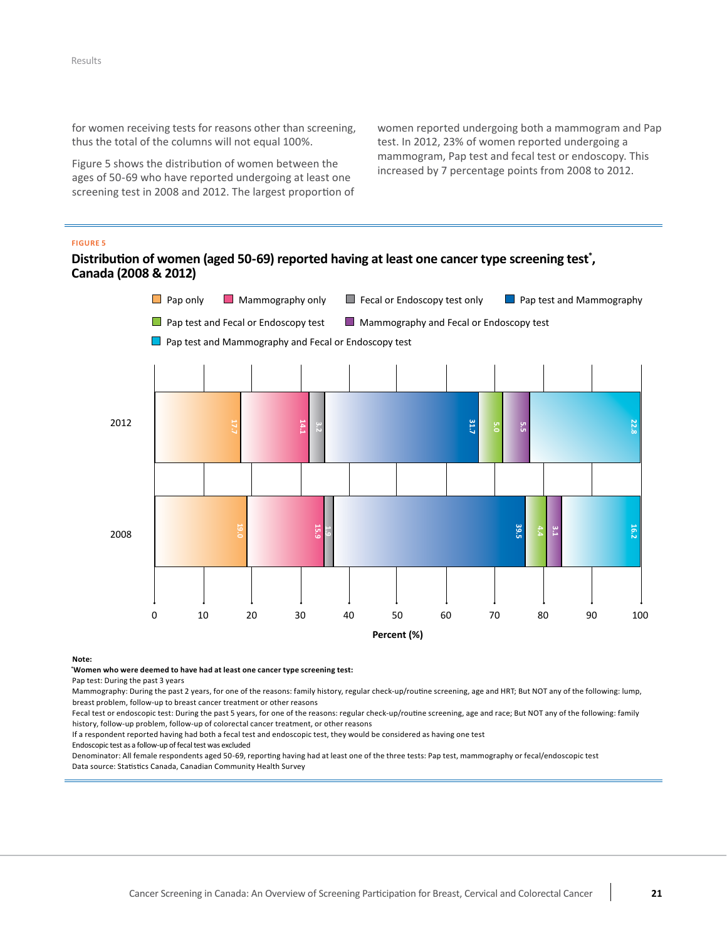for women receiving tests for reasons other than screening, thus the total of the columns will not equal 100%.

 [Figure](#page-22-0) 5 shows the distribution of women between the ages of 50-69 who have reported undergoing at least one screening test in 2008 and 2012. The largest proportion of  women reported undergoing both a mammogram and Pap test. In 2012, 23% of women reported undergoing a mammogram, Pap test and fecal test or endoscopy. This increased by 7 percentage points from 2008 to 2012. 

#### <span id="page-22-0"></span>**FIGURE 5**

### Distribution of women (aged 50-69) reported having at least one cancer type screening test<sup>\*</sup>,  **Canada (2008 & 2012)**



#### **Note:**

**\* Women who were deemed to have had at least one cancer type screening test:**

Pap test: During the past 3 years

Mammography: During the past 2 years, for one of the reasons: family history, regular check-up/routine screening, age and HRT; But NOT any of the following: lump, breast problem, follow-up to breast cancer treatment or other reasons

Fecal test or endoscopic test: During the past 5 years, for one of the reasons: regular check-up/routine screening, age and race; But NOT any of the following: family history, follow-up problem, follow-up of colorectal cancer treatment, or other reasons

If a respondent reported having had both a fecal test and endoscopic test, they would be considered as having one test

Endoscopic test as a follow-up of fecal test was excluded

Denominator: All female respondents aged 50-69, reporting having had at least one of the three tests: Pap test, mammography or fecal/endoscopic test Data source: Statistics Canada, Canadian Community Health Survey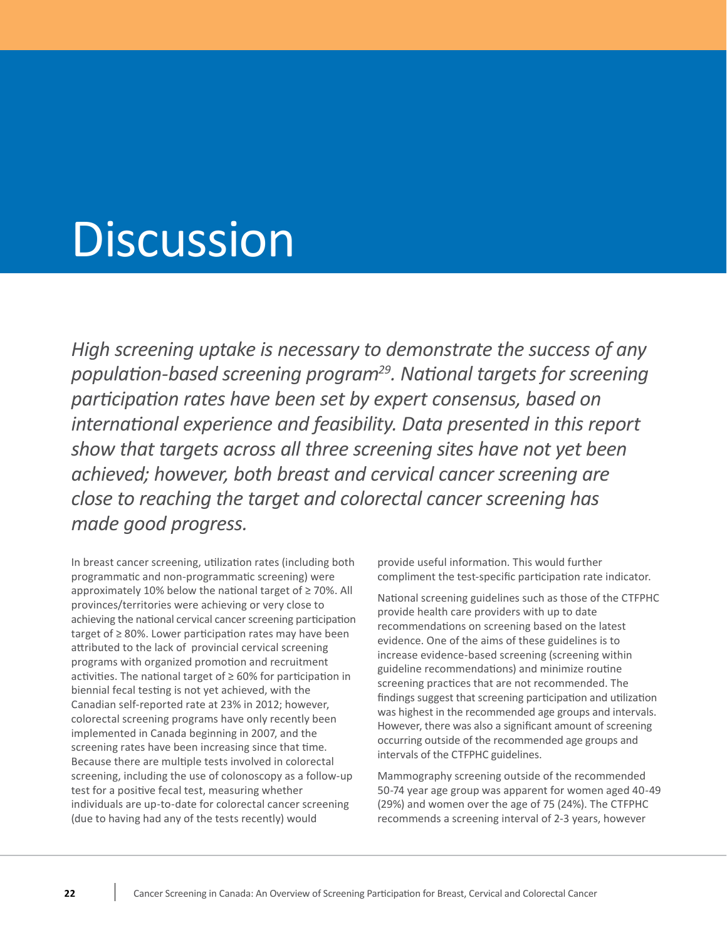# <span id="page-23-0"></span>**Discussion**

*<i>High screening uptake is necessary to demonstrate the success of any population-based screening program29. National targets for screening participation rates have been set by expert consensus, based on international experience and feasibility. Data presented in this report show that targets across all three screening sites have not yet been achieved; however, both breast and cervical cancer screening are close to reaching the target and colorectal cancer screening has made good progress.*

 In breast cancer screening, utilization rates (including both programmatic and non-programmatic screening) were approximately 10% below the national target of ≥ 70%. All provinces/territories were achieving or very close to achieving the national cervical cancer screening participation target of ≥ 80%. Lower participation rates may have been attributed to the lack of provincial cervical screening programs with organized promotion and recruitment activities. The national target of ≥ 60% for participation in biennial fecal testing is not yet achieved, with the Canadian self-reported rate at 23% in 2012; however, colorectal screening programs have only recently been implemented in Canada beginning in 2007, and the screening rates have been increasing since that time. Because there are multiple tests involved in colorectal screening, including the use of colonoscopy as a follow-up test for a positive fecal test, measuring whether individuals are up-to-date for colorectal cancer screening (due to having had any of the tests recently) would

 provide useful information. This would further compliment the test-specific participation rate indicator.

 National screening guidelines such as those of the CTFPHC provide health care providers with up to date recommendations on screening based on the latest evidence. One of the aims of these guidelines is to increase evidence-based screening (screening within guideline recommendations) and minimize routine screening practices that are not recommended. The findings suggest that screening participation and utilization was highest in the recommended age groups and intervals. However, there was also a significant amount of screening occurring outside of the recommended age groups and intervals of the CTFPHC guidelines.

 Mammography screening outside of the recommended 50-74 year age group was apparent for women aged 40-49 (29%) and women over the age of 75 (24%). The CTFPHC recommends a screening interval of 2-3 years, however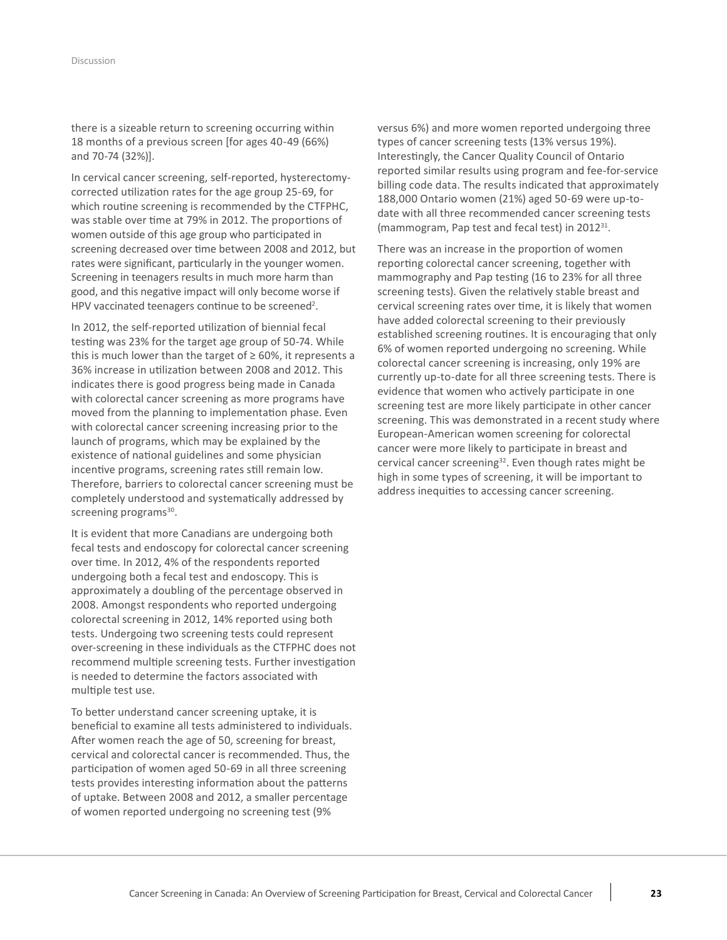there is a sizeable return to screening occurring within 18 months of a previous screen [for ages 40-49 (66%) and 70-74 (32%)]. 

In cervical cancer screening, self-reported, hysterectomy corrected utilization rates for the age group 25-69, for which routine screening is recommended by the CTFPHC, was stable over time at 79% in 2012. The proportions of women outside of this age group who participated in screening decreased over time between 2008 and 2012, but rates were significant, particularly in the younger women. Screening in teenagers results in much more harm than good, and this negative impact will only become worse if HPV vaccinated teenagers continue to be screened<sup>2</sup>.

In 2012, the self-reported utilization of biennial fecal testing was 23% for the target age group of 50-74. While this is much lower than the target of ≥ 60%, it represents a 36% increase in utilization between 2008 and 2012. This indicates there is good progress being made in Canada with colorectal cancer screening as more programs have moved from the planning to implementation phase. Even with colorectal cancer screening increasing prior to the launch of programs, which may be explained by the existence of national guidelines and some physician incentive programs, screening rates still remain low. Therefore, barriers to colorectal cancer screening must be completely understood and systematically addressed by screening programs<sup>30</sup>.

It is evident that more Canadians are undergoing both fecal tests and endoscopy for colorectal cancer screening over time. In 2012, 4% of the respondents reported undergoing both a fecal test and endoscopy. This is approximately a doubling of the percentage observed in 2008. Amongst respondents who reported undergoing colorectal screening in 2012, 14% reported using both tests. Undergoing two screening tests could represent over-screening in these individuals as the CTFPHC does not recommend multiple screening tests. Further investigation is needed to determine the factors associated with multiple test use. 

To better understand cancer screening uptake, it is beneficial to examine all tests administered to individuals. After women reach the age of 50, screening for breast, cervical and colorectal cancer is recommended. Thus, the participation of women aged 50-69 in all three screening tests provides interesting information about the patterns of uptake. Between 2008 and 2012, a smaller percentage of women reported undergoing no screening test (9% 

versus 6%) and more women reported undergoing three types of cancer screening tests (13% versus 19%). Interestingly, the Cancer Quality Council of Ontario reported similar results using program and fee-for-service billing code data. The results indicated that approximately 188,000 Ontario women (21%) aged 50-69 were up-to date with all three recommended cancer screening tests (mammogram, Pap test and fecal test) in 2012<sup>31</sup>.

There was an increase in the proportion of women reporting colorectal cancer screening, together with mammography and Pap testing (16 to 23% for all three screening tests). Given the relatively stable breast and cervical screening rates over time, it is likely that women have added colorectal screening to their previously established screening routines. It is encouraging that only 6% of women reported undergoing no screening. While colorectal cancer screening is increasing, only 19% are currently up-to-date for all three screening tests. There is evidence that women who actively participate in one screening test are more likely participate in other cancer screening. This was demonstrated in a recent study where European-American women screening for colorectal cancer were more likely to participate in breast and cervical cancer screening<sup>32</sup>. Even though rates might be high in some types of screening, it will be important to address inequities to accessing cancer screening.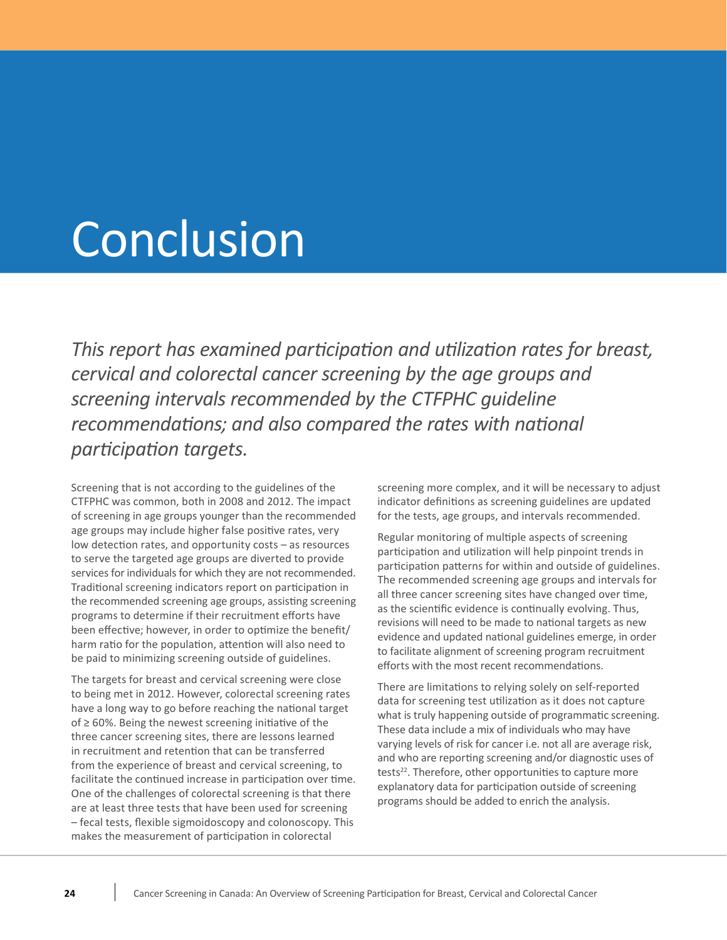# <span id="page-25-0"></span>Conclusion

 *This report has examined participation and utilization rates for breast, cervical and colorectal cancer screening by the age groups and screening intervals recommended by the CTFPHC guideline recommendations; and also compared the rates with national participation targets.*

 CTFPHC was common, both in 2008 and 2012. The impact of screening in age groups younger than the recommended age groups may include higher false positive rates, very low detection rates, and opportunity costs – as resources to serve the targeted age groups are diverted to provide services for individuals for which they are not recommended. Traditional screening indicators report on participation in the recommended screening age groups, assisting screening programs to determine if their recruitment efforts have been effective; however, in order to optimize the benefit/ harm ratio for the population, attention will also need to be paid to minimizing screening outside of guidelines. Screening that is not according to the guidelines of the

 The targets for breast and cervical screening were close to being met in 2012. However, colorectal screening rates have a long way to go before reaching the national target of ≥ 60%. Being the newest screening initiative of the three cancer screening sites, there are lessons learned in recruitment and retention that can be transferred from the experience of breast and cervical screening, to facilitate the continued increase in participation over time. One of the challenges of colorectal screening is that there are at least three tests that have been used for screening – fecal tests, flexible sigmoidoscopy and colonoscopy. This makes the measurement of participation in colorectal

 screening more complex, and it will be necessary to adjust indicator definitions as screening guidelines are updated for the tests, age groups, and intervals recommended.

 Regular monitoring of multiple aspects of screening participation and utilization will help pinpoint trends in The recommended screening age groups and intervals for all three cancer screening sites have changed over time, as the scientific evidence is continually evolving. Thus, revisions will need to be made to national targets as new evidence and updated national guidelines emerge, in order to facilitate alignment of screening program recruitment efforts with the most recent recommendations. participation patterns for within and outside of guidelines.

 There are limitations to relying solely on self-reported data for screening test utilization as it does not capture what is truly happening outside of programmatic screening. These data include a mix of individuals who may have varying levels of risk for cancer i.e. not all are average risk, and who are reporting screening and/or diagnostic uses of tests<sup>22</sup>. Therefore, other opportunities to capture more explanatory data for participation outside of screening programs should be added to enrich the analysis.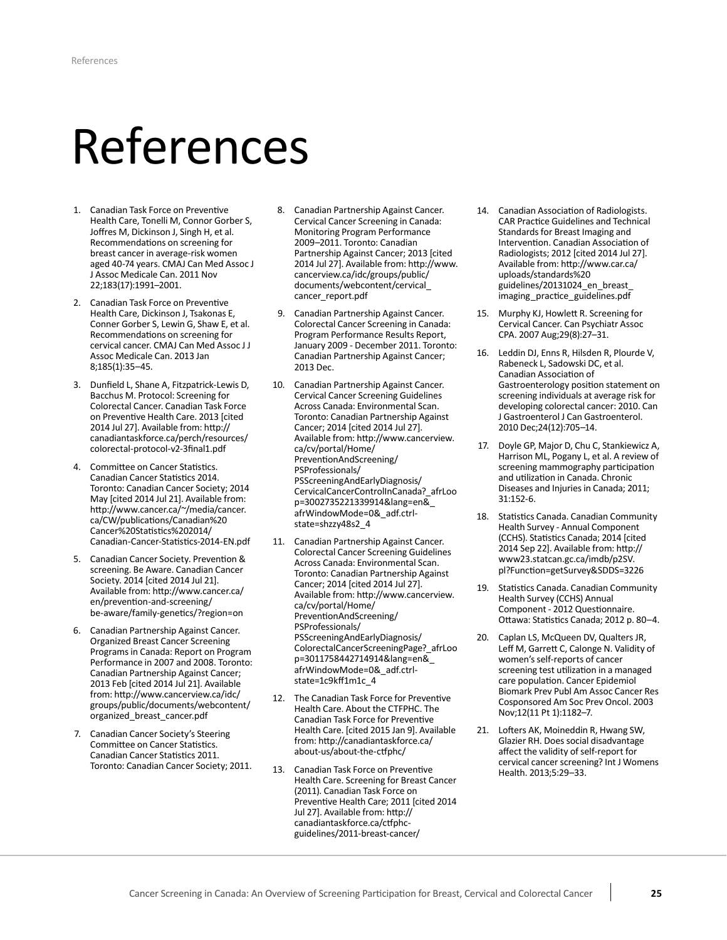# <span id="page-26-0"></span>References

- 1. Canadian Task Force on Preventive Health Care, Tonelli M, Connor Gorber S, Joffres M, Dickinson J, Singh H, et al. Recommendations on screening for breast cancer in average-risk women aged 40-74 years. CMAJ Can Med Assoc J J Assoc Medicale Can. 2011 Nov 22;183(17):1991–2001.
- 2. Canadian Task Force on Preventive Health Care, Dickinson J, Tsakonas E, Conner Gorber S, Lewin G, Shaw E, et al. Recommendations on screening for cervical cancer. CMAJ Can Med Assoc J J Assoc Medicale Can. 2013 Jan 8;185(1):35–45.
- 3. Dunfield L, Shane A, Fitzpatrick-Lewis D, Bacchus M. Protocol: Screening for Colorectal Cancer. Canadian Task Force on Preventive Health Care. 2013 [cited 2014 Jul 27]. Available from: [http://](http://canadiantaskforce.ca/perch/resources/colorectal-protocol-v2-3final1.pdf) [canadiantaskforce.ca/perch/resources/](http://canadiantaskforce.ca/perch/resources/colorectal-protocol-v2-3final1.pdf) [colorectal-protocol-v2-3final1.pdf](http://canadiantaskforce.ca/perch/resources/colorectal-protocol-v2-3final1.pdf)
- 4. Committee on Cancer Statistics. Canadian Cancer Statistics 2014. Toronto: Canadian Cancer Society; 2014 May [cited 2014 Jul 21]. Available from: [http://www.cancer.ca/~/media/cancer.](http://www.cancer.ca/~/media/cancer.ca/CW/publications/Canadian%20Cancer%20Statistics%202014/Canadian-Cancer-Statistics-2014-EN.pdf) [ca/CW/publications/Canadian%20](http://www.cancer.ca/~/media/cancer.ca/CW/publications/Canadian%20Cancer%20Statistics%202014/Canadian-Cancer-Statistics-2014-EN.pdf) [Cancer%20Statistics%202014/](http://www.cancer.ca/~/media/cancer.ca/CW/publications/Canadian%20Cancer%20Statistics%202014/Canadian-Cancer-Statistics-2014-EN.pdf) [Canadian-Cancer-Statistics-2014-EN.pdf](http://www.cancer.ca/~/media/cancer.ca/CW/publications/Canadian%20Cancer%20Statistics%202014/Canadian-Cancer-Statistics-2014-EN.pdf)
- 5. Canadian Cancer Society. Prevention & screening. Be Aware. Canadian Cancer Society. 2014 [cited 2014 Jul 21]. Available from: [http://www.cancer.ca/](http://www.cancer.ca/en/prevention-and-screening/be-aware/family-genetics/?region=on) [en/prevention-and-screening/](http://www.cancer.ca/en/prevention-and-screening/be-aware/family-genetics/?region=on) [be-aware/family-genetics/?region=on](http://www.cancer.ca/en/prevention-and-screening/be-aware/family-genetics/?region=on)
- 6. Canadian Partnership Against Cancer. Organized Breast Cancer Screening Programs in Canada: Report on Program Performance in 2007 and 2008. Toronto: Canadian Partnership Against Cancer; 2013 Feb [cited 2014 Jul 21]. Available from: [http://www.cancerview.ca/idc/](http://www.cancerview.ca/idc/groups/public/documents/webcontent/organized_breast_cancer.pdf) [groups/public/documents/webcontent/](http://www.cancerview.ca/idc/groups/public/documents/webcontent/organized_breast_cancer.pdf) [organized\\_breast\\_cancer.pdf](http://www.cancerview.ca/idc/groups/public/documents/webcontent/organized_breast_cancer.pdf)
- 7. Canadian Cancer Society's Steering Committee on Cancer Statistics. Canadian Cancer Statistics 2011. Toronto: Canadian Cancer Society; 2011.
- 8. Canadian Partnership Against Cancer. Cervical Cancer Screening in Canada: Monitoring Program Performance 2009–2011. Toronto: Canadian Partnership Against Cancer; 2013 [cited 2014 Jul 27]. Available from: [http://www.](http://www.cancerview.ca/idc/groups/public/documents/webcontent/cervical_cancer_report.pdf) [cancerview.ca/idc/groups/public/](http://www.cancerview.ca/idc/groups/public/documents/webcontent/cervical_cancer_report.pdf) [documents/webcontent/cervical\\_](http://www.cancerview.ca/idc/groups/public/documents/webcontent/cervical_cancer_report.pdf) [cancer\\_report.pdf](http://www.cancerview.ca/idc/groups/public/documents/webcontent/cervical_cancer_report.pdf)
- 9. Canadian Partnership Against Cancer. Colorectal Cancer Screening in Canada: Program Performance Results Report, January 2009 - December 2011. Toronto: Canadian Partnership Against Cancer; 2013 Dec.
- 10. Canadian Partnership Against Cancer. Cervical Cancer Screening Guidelines Across Canada: Environmental Scan. Toronto: Canadian Partnership Against Cancer; 2014 [cited 2014 Jul 27]. Available from: [http://www.cancerview.](http://www.cancerview.ca/cv/portal/Home/PreventionAndScreening/PSProfessionals/PSScreeningAndEarlyDiagnosis/CervicalCancerControlInCanada?_afrLoop=3002735221339914&lang=en&_afrWindowMode=0&_adf.ctrl-state=shzzy48s2_4) [ca/cv/portal/Home/](http://www.cancerview.ca/cv/portal/Home/PreventionAndScreening/PSProfessionals/PSScreeningAndEarlyDiagnosis/CervicalCancerControlInCanada?_afrLoop=3002735221339914&lang=en&_afrWindowMode=0&_adf.ctrl-state=shzzy48s2_4) [PreventionAndScreening/](http://www.cancerview.ca/cv/portal/Home/PreventionAndScreening/PSProfessionals/PSScreeningAndEarlyDiagnosis/CervicalCancerControlInCanada?_afrLoop=3002735221339914&lang=en&_afrWindowMode=0&_adf.ctrl-state=shzzy48s2_4) [PSProfessionals/](http://www.cancerview.ca/cv/portal/Home/PreventionAndScreening/PSProfessionals/PSScreeningAndEarlyDiagnosis/CervicalCancerControlInCanada?_afrLoop=3002735221339914&lang=en&_afrWindowMode=0&_adf.ctrl-state=shzzy48s2_4) [PSScreeningAndEarlyDiagnosis/](http://www.cancerview.ca/cv/portal/Home/PreventionAndScreening/PSProfessionals/PSScreeningAndEarlyDiagnosis/CervicalCancerControlInCanada?_afrLoop=3002735221339914&lang=en&_afrWindowMode=0&_adf.ctrl-state=shzzy48s2_4) [CervicalCancerControlInCanada?\\_afrLoo](http://www.cancerview.ca/cv/portal/Home/PreventionAndScreening/PSProfessionals/PSScreeningAndEarlyDiagnosis/CervicalCancerControlInCanada?_afrLoop=3002735221339914&lang=en&_afrWindowMode=0&_adf.ctrl-state=shzzy48s2_4) [p=3002735221339914&lang=en&\\_](http://www.cancerview.ca/cv/portal/Home/PreventionAndScreening/PSProfessionals/PSScreeningAndEarlyDiagnosis/CervicalCancerControlInCanada?_afrLoop=3002735221339914&lang=en&_afrWindowMode=0&_adf.ctrl-state=shzzy48s2_4) [afrWindowMode=0&\\_adf.ctrl](http://www.cancerview.ca/cv/portal/Home/PreventionAndScreening/PSProfessionals/PSScreeningAndEarlyDiagnosis/CervicalCancerControlInCanada?_afrLoop=3002735221339914&lang=en&_afrWindowMode=0&_adf.ctrl-state=shzzy48s2_4)[state=shzzy48s2\\_4](http://www.cancerview.ca/cv/portal/Home/PreventionAndScreening/PSProfessionals/PSScreeningAndEarlyDiagnosis/CervicalCancerControlInCanada?_afrLoop=3002735221339914&lang=en&_afrWindowMode=0&_adf.ctrl-state=shzzy48s2_4)
- 11. Canadian Partnership Against Cancer. Colorectal Cancer Screening Guidelines Across Canada: Environmental Scan. Toronto: Canadian Partnership Against Cancer; 2014 [cited 2014 Jul 27]. Available from: [http://www.cancerview.](http://www.cancerview.ca/cv/portal/Home/PreventionAndScreening/PSProfessionals/PSScreeningAndEarlyDiagnosis/ColorectalCancerScreeningPage?_afrLoop=3011758442714914&lang=en&_afrWindowMode=0&_adf.ctrl-state=1c9kff1m1c_4) [ca/cv/portal/Home/](http://www.cancerview.ca/cv/portal/Home/PreventionAndScreening/PSProfessionals/PSScreeningAndEarlyDiagnosis/ColorectalCancerScreeningPage?_afrLoop=3011758442714914&lang=en&_afrWindowMode=0&_adf.ctrl-state=1c9kff1m1c_4) [PreventionAndScreening/](http://www.cancerview.ca/cv/portal/Home/PreventionAndScreening/PSProfessionals/PSScreeningAndEarlyDiagnosis/ColorectalCancerScreeningPage?_afrLoop=3011758442714914&lang=en&_afrWindowMode=0&_adf.ctrl-state=1c9kff1m1c_4) [PSProfessionals/](http://www.cancerview.ca/cv/portal/Home/PreventionAndScreening/PSProfessionals/PSScreeningAndEarlyDiagnosis/ColorectalCancerScreeningPage?_afrLoop=3011758442714914&lang=en&_afrWindowMode=0&_adf.ctrl-state=1c9kff1m1c_4) [PSScreeningAndEarlyDiagnosis/](http://www.cancerview.ca/cv/portal/Home/PreventionAndScreening/PSProfessionals/PSScreeningAndEarlyDiagnosis/ColorectalCancerScreeningPage?_afrLoop=3011758442714914&lang=en&_afrWindowMode=0&_adf.ctrl-state=1c9kff1m1c_4) [ColorectalCancerScreeningPage?\\_afrLoo](http://www.cancerview.ca/cv/portal/Home/PreventionAndScreening/PSProfessionals/PSScreeningAndEarlyDiagnosis/ColorectalCancerScreeningPage?_afrLoop=3011758442714914&lang=en&_afrWindowMode=0&_adf.ctrl-state=1c9kff1m1c_4) [p=3011758442714914&lang=en&\\_](http://www.cancerview.ca/cv/portal/Home/PreventionAndScreening/PSProfessionals/PSScreeningAndEarlyDiagnosis/ColorectalCancerScreeningPage?_afrLoop=3011758442714914&lang=en&_afrWindowMode=0&_adf.ctrl-state=1c9kff1m1c_4) [afrWindowMode=0&\\_adf.ctrl](http://www.cancerview.ca/cv/portal/Home/PreventionAndScreening/PSProfessionals/PSScreeningAndEarlyDiagnosis/ColorectalCancerScreeningPage?_afrLoop=3011758442714914&lang=en&_afrWindowMode=0&_adf.ctrl-state=1c9kff1m1c_4)[state=1c9kff1m1c\\_4](http://www.cancerview.ca/cv/portal/Home/PreventionAndScreening/PSProfessionals/PSScreeningAndEarlyDiagnosis/ColorectalCancerScreeningPage?_afrLoop=3011758442714914&lang=en&_afrWindowMode=0&_adf.ctrl-state=1c9kff1m1c_4)
- 12. The Canadian Task Force for Preventive Health Care. About the CTFPHC. The Canadian Task Force for Preventive Health Care. [cited 2015 Jan 9]. Available from: [http://canadiantaskforce.ca/](http://canadiantaskforce.ca/about-us/about-the-ctfphc/) [about-us/about-the-ctfphc/](http://canadiantaskforce.ca/about-us/about-the-ctfphc/)
- 13. Canadian Task Force on Preventive Health Care. Screening for Breast Cancer (2011). Canadian Task Force on Preventive Health Care; 2011 [cited 2014 Jul 27]. Available from: [http://](http://canadiantaskforce.ca/ctfphc-guidelines/2011-breast-cancer/) [canadiantaskforce.ca/ctfphc](http://canadiantaskforce.ca/ctfphc-guidelines/2011-breast-cancer/)[guidelines/2011-breast-cancer/](http://canadiantaskforce.ca/ctfphc-guidelines/2011-breast-cancer/)
- 14. Canadian Association of Radiologists. CAR Practice Guidelines and Technical Standards for Breast Imaging and Intervention. Canadian Association of Radiologists; 2012 [cited 2014 Jul 27]. Available from: [http://www.car.ca/](http://www.car.ca/uploads/standards%20guidelines/20131024_en_breast_imaging_practice_guidelines.pdf) [uploads/standards%20](http://www.car.ca/uploads/standards%20guidelines/20131024_en_breast_imaging_practice_guidelines.pdf) guidelines/20131024 en breast [imaging\\_practice\\_guidelines.pdf](http://www.car.ca/uploads/standards%20guidelines/20131024_en_breast_imaging_practice_guidelines.pdf)
- 15. Murphy KJ, Howlett R. Screening for Cervical Cancer. Can Psychiatr Assoc CPA. 2007 Aug;29(8):27–31.
- 16. Leddin DJ, Enns R, Hilsden R, Plourde V, Rabeneck L, Sadowski DC, et al. Canadian Association of Gastroenterology position statement on developing colorectal cancer: 2010. Can J Gastroenterol J Can Gastroenterol. screening individuals at average risk for 2010 Dec;24(12):705–14.
- 17. Doyle GP, Major D, Chu C, Stankiewicz A, Harrison ML, Pogany L, et al. A review of and utilization in Canada. Chronic Diseases and Injuries in Canada; 2011; screening mammography participation 31:152-6.
- 18. Statistics Canada. Canadian Community Health Survey - Annual Component (CCHS). Statistics Canada; 2014 [cited 2014 Sep 22]. Available from: [http://](http://www23.statcan.gc.ca/imdb/p2SV.pl?Function=getSurvey&SDDS=3226) [www23.statcan.gc.ca/imdb/p2SV.](http://www23.statcan.gc.ca/imdb/p2SV.pl?Function=getSurvey&SDDS=3226) [pl?Function=getSurvey&SDDS=3226](http://www23.statcan.gc.ca/imdb/p2SV.pl?Function=getSurvey&SDDS=3226)
- 19. Statistics Canada. Canadian Community Health Survey (CCHS) Annual Component - 2012 Questionnaire. Ottawa: Statistics Canada; 2012 p. 80–4.
- 20. Caplan LS, McQueen DV, Qualters JR, Leff M, Garrett C, Calonge N. Validity of women's self-reports of cancer screening test utilization in a managed care population. Cancer Epidemiol Biomark Prev Publ Am Assoc Cancer Res Cosponsored Am Soc Prev Oncol. 2003 Nov;12(11 Pt 1):1182–7.
- 21. Lofters AK, Moineddin R, Hwang SW, Glazier RH. Does social disadvantage affect the validity of self-report for cervical cancer screening? Int J Womens Health. 2013;5:29–33.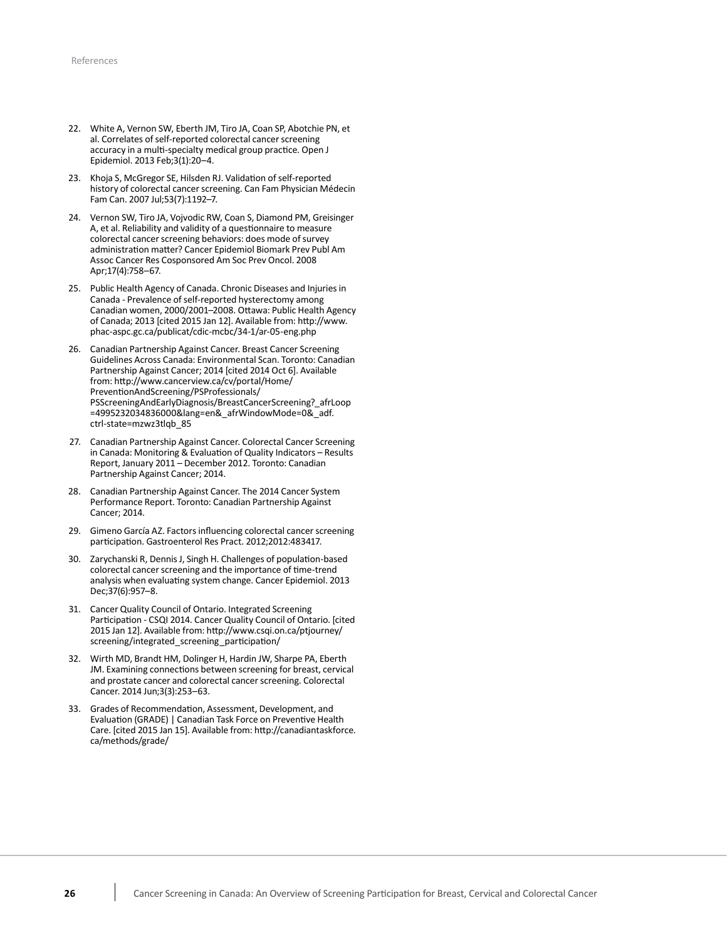- 22. White A, Vernon SW, Eberth JM, Tiro JA, Coan SP, Abotchie PN, et al. Correlates of self-reported colorectal cancer screening accuracy in a multi-specialty medical group practice. Open J Epidemiol. 2013 Feb;3(1):20–4.
- 23. Khoja S, McGregor SE, Hilsden RJ. Validation of self-reported history of colorectal cancer screening. Can Fam Physician Médecin Fam Can. 2007 Jul;53(7):1192–7.
- 24. Vernon SW, Tiro JA, Vojvodic RW, Coan S, Diamond PM, Greisinger A, et al. Reliability and validity of a questionnaire to measure colorectal cancer screening behaviors: does mode of survey administration matter? Cancer Epidemiol Biomark Prev Publ Am Assoc Cancer Res Cosponsored Am Soc Prev Oncol. 2008 Apr;17(4):758–67.
- 25. Public Health Agency of Canada. Chronic Diseases and Injuries in Canada - Prevalence of self-reported hysterectomy among Canadian women, 2000/2001–2008. Ottawa: Public Health Agency of Canada; 2013 [cited 2015 Jan 12]. Available from: [http://www.](http://www.phac-aspc.gc.ca/publicat/cdic-mcbc/34-1/ar-05-eng.php) [phac-aspc.gc.ca/publicat/cdic-mcbc/34-1/ar-05-eng.php](http://www.phac-aspc.gc.ca/publicat/cdic-mcbc/34-1/ar-05-eng.php)
- 26. Canadian Partnership Against Cancer. Breast Cancer Screening Guidelines Across Canada: Environmental Scan. Toronto: Canadian Partnership Against Cancer; 2014 [cited 2014 Oct 6]. Available from: [http://www.cancerview.ca/cv/portal/Home/](http://www.cancerview.ca/cv/portal/Home/PreventionAndScreening/PSProfessionals/PSScreeningAndEarlyDiagnosis/BreastCancerScreening?_afrLoop=4995232034836000&lang=en&_afrWindowMode=0&_adf.ctrl-state=mzwz3tlqb_85) [PreventionAndScreening/PSProfessionals/](http://www.cancerview.ca/cv/portal/Home/PreventionAndScreening/PSProfessionals/PSScreeningAndEarlyDiagnosis/BreastCancerScreening?_afrLoop=4995232034836000&lang=en&_afrWindowMode=0&_adf.ctrl-state=mzwz3tlqb_85) [PSScreeningAndEarlyDiagnosis/BreastCancerScreening?\\_afrLoop](http://www.cancerview.ca/cv/portal/Home/PreventionAndScreening/PSProfessionals/PSScreeningAndEarlyDiagnosis/BreastCancerScreening?_afrLoop=4995232034836000&lang=en&_afrWindowMode=0&_adf.ctrl-state=mzwz3tlqb_85) [=4995232034836000&lang=en&\\_afrWindowMode=0&\\_adf.](http://www.cancerview.ca/cv/portal/Home/PreventionAndScreening/PSProfessionals/PSScreeningAndEarlyDiagnosis/BreastCancerScreening?_afrLoop=4995232034836000&lang=en&_afrWindowMode=0&_adf.ctrl-state=mzwz3tlqb_85) [ctrl-state=mzwz3tlqb\\_85](http://www.cancerview.ca/cv/portal/Home/PreventionAndScreening/PSProfessionals/PSScreeningAndEarlyDiagnosis/BreastCancerScreening?_afrLoop=4995232034836000&lang=en&_afrWindowMode=0&_adf.ctrl-state=mzwz3tlqb_85)
- 27. Canadian Partnership Against Cancer. Colorectal Cancer Screening in Canada: Monitoring & Evaluation of Quality Indicators – Results Report, January 2011 – December 2012. Toronto: Canadian Partnership Against Cancer; 2014.
- 28. Canadian Partnership Against Cancer. The 2014 Cancer System Performance Report. Toronto: Canadian Partnership Against Cancer; 2014.
- 29. Gimeno García AZ. Factors influencing colorectal cancer screening participation. Gastroenterol Res Pract. 2012;2012:483417.
- 30. Zarychanski R, Dennis J, Singh H. Challenges of population-based colorectal cancer screening and the importance of time-trend analysis when evaluating system change. Cancer Epidemiol. 2013 Dec;37(6):957–8.
- 31. Cancer Quality Council of Ontario. Integrated Screening Participation - CSQI 2014. Cancer Quality Council of Ontario. [cited 2015 Jan 12]. Available from: [http://www.csqi.on.ca/ptjourney/](http://www.csqi.on.ca/ptjourney/screening/integrated_screening_participation/) [screening/integrated\\_screening\\_participation/](http://www.csqi.on.ca/ptjourney/screening/integrated_screening_participation/)
- 32. Wirth MD, Brandt HM, Dolinger H, Hardin JW, Sharpe PA, Eberth JM. Examining connections between screening for breast, cervical and prostate cancer and colorectal cancer screening. Colorectal Cancer. 2014 Jun;3(3):253–63.
- 33. Grades of Recommendation, Assessment, Development, and Evaluation (GRADE) | Canadian Task Force on Preventive Health Care. [cited 2015 Jan 15]. Available from: [http://canadiantaskforce.](http://canadiantaskforce.ca/methods/grade/) [ca/methods/grade/](http://canadiantaskforce.ca/methods/grade/)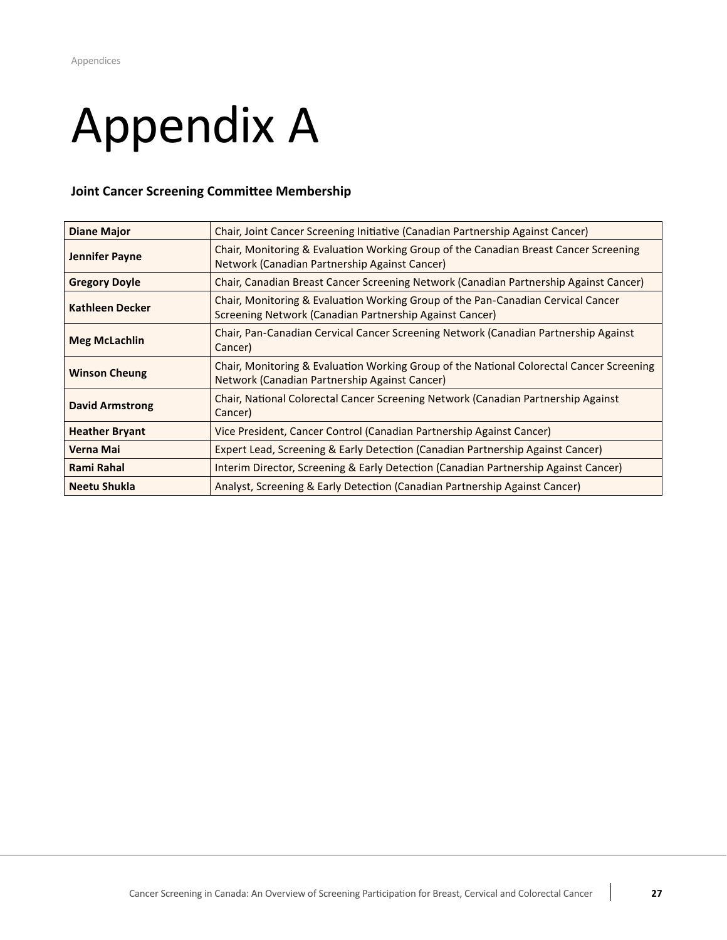# <span id="page-28-0"></span> Appendix A

## **Joint Cancer Screening Committee Membership**

| <b>Diane Major</b>     | Chair, Joint Cancer Screening Initiative (Canadian Partnership Against Cancer)                                                              |
|------------------------|---------------------------------------------------------------------------------------------------------------------------------------------|
| Jennifer Payne         | Chair, Monitoring & Evaluation Working Group of the Canadian Breast Cancer Screening<br>Network (Canadian Partnership Against Cancer)       |
| <b>Gregory Doyle</b>   | Chair, Canadian Breast Cancer Screening Network (Canadian Partnership Against Cancer)                                                       |
| <b>Kathleen Decker</b> | Chair, Monitoring & Evaluation Working Group of the Pan-Canadian Cervical Cancer<br>Screening Network (Canadian Partnership Against Cancer) |
| <b>Meg McLachlin</b>   | Chair, Pan-Canadian Cervical Cancer Screening Network (Canadian Partnership Against<br>Cancer)                                              |
| <b>Winson Cheung</b>   | Chair, Monitoring & Evaluation Working Group of the National Colorectal Cancer Screening<br>Network (Canadian Partnership Against Cancer)   |
| <b>David Armstrong</b> | Chair, National Colorectal Cancer Screening Network (Canadian Partnership Against<br>Cancer)                                                |
| <b>Heather Bryant</b>  | Vice President, Cancer Control (Canadian Partnership Against Cancer)                                                                        |
| Verna Mai              | Expert Lead, Screening & Early Detection (Canadian Partnership Against Cancer)                                                              |
| Rami Rahal             | Interim Director, Screening & Early Detection (Canadian Partnership Against Cancer)                                                         |
| <b>Neetu Shukla</b>    | Analyst, Screening & Early Detection (Canadian Partnership Against Cancer)                                                                  |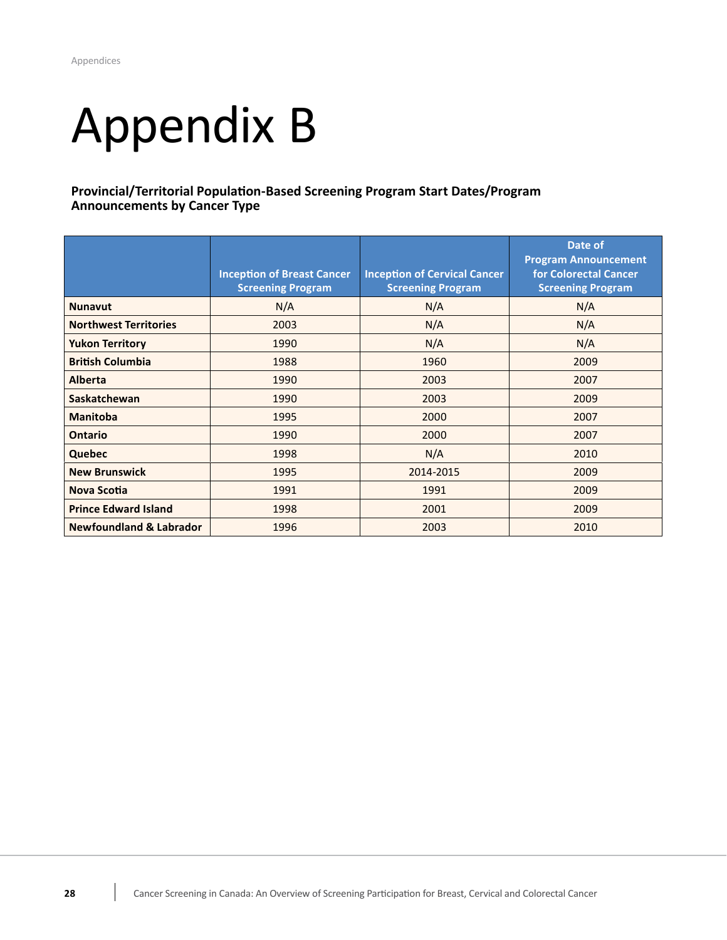# <span id="page-29-0"></span> Appendix B

## **Provincial/Territorial Population-Based Screening Program Start Dates/Program Announcements by Cancer Type**

|                                    | <b>Inception of Breast Cancer</b><br><b>Screening Program</b> | <b>Inception of Cervical Cancer</b><br><b>Screening Program</b> | Date of<br><b>Program Announcement</b><br>for Colorectal Cancer<br><b>Screening Program</b> |
|------------------------------------|---------------------------------------------------------------|-----------------------------------------------------------------|---------------------------------------------------------------------------------------------|
| <b>Nunavut</b>                     | N/A                                                           | N/A                                                             | N/A                                                                                         |
| <b>Northwest Territories</b>       | 2003                                                          | N/A                                                             | N/A                                                                                         |
| <b>Yukon Territory</b>             | 1990                                                          | N/A                                                             | N/A                                                                                         |
| <b>British Columbia</b>            | 1988                                                          | 1960                                                            | 2009                                                                                        |
| <b>Alberta</b>                     | 1990                                                          | 2003                                                            | 2007                                                                                        |
| <b>Saskatchewan</b>                | 1990                                                          | 2003                                                            | 2009                                                                                        |
| <b>Manitoba</b>                    | 1995                                                          | 2000                                                            | 2007                                                                                        |
| <b>Ontario</b>                     | 1990                                                          | 2000                                                            | 2007                                                                                        |
| <b>Quebec</b>                      | 1998                                                          | N/A                                                             | 2010                                                                                        |
| <b>New Brunswick</b>               | 1995                                                          | 2014-2015                                                       | 2009                                                                                        |
| <b>Nova Scotia</b>                 | 1991                                                          | 1991                                                            | 2009                                                                                        |
| <b>Prince Edward Island</b>        | 1998                                                          | 2001                                                            | 2009                                                                                        |
| <b>Newfoundland &amp; Labrador</b> | 1996                                                          | 2003                                                            | 2010                                                                                        |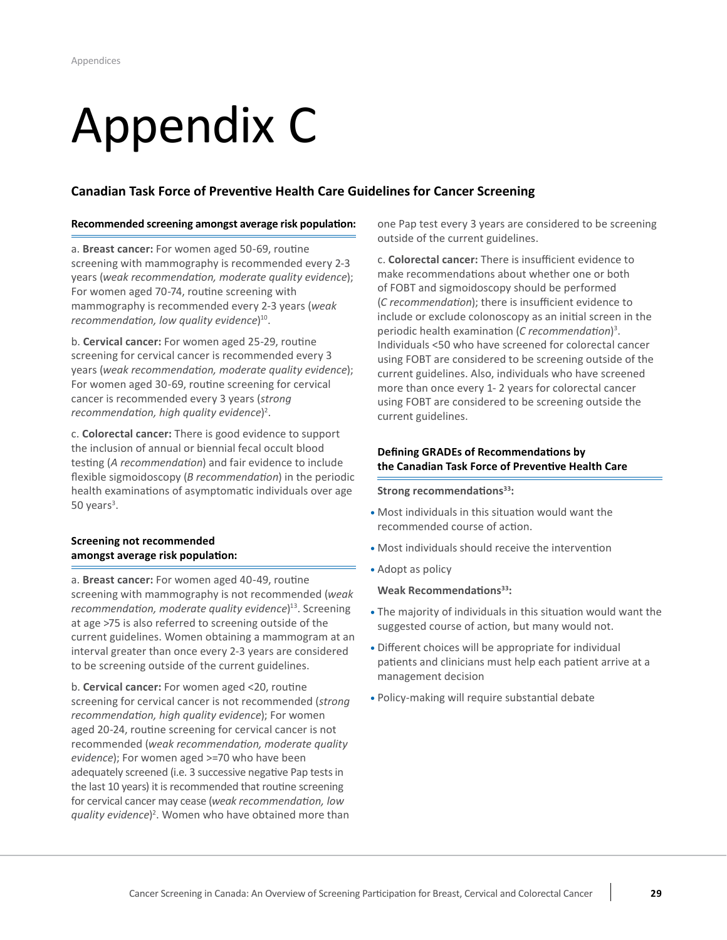# <span id="page-30-0"></span> Appendix C

## **Canadian Task Force of Preventive Health Care Guidelines for Cancer Screening**

#### **Recommended screening amongst average risk population:**

a. **Breast cancer:** For women aged 50-69, routine screening with mammography is recommended every 2-3  years (*weak recommendation, moderate quality evidence*); For women aged 70-74, routine screening with mammography is recommended every 2-3 years (*weak recommendation, low quality evidence*) 10.

**b. Cervical cancer:** For women aged 25-29, routine screening for cervical cancer is recommended every 3  years (*weak recommendation, moderate quality evidence*); For women aged 30-69, routine screening for cervical cancer is recommended every 3 years (*strong* recommendation, high quality evidence)<sup>2</sup>.

 c. **Colorectal cancer:** There is good evidence to support the inclusion of annual or biennial fecal occult blood flexible sigmoidoscopy (*B recommendation*) in the periodic health examinations of asymptomatic individuals over age testing (*A recommendation*) and fair evidence to include 50 years $3$ .

### **amongst average risk population: Screening not recommended**

 a. **Breast cancer:** For women aged 40-49, routine screening with mammography is not recommended (*weak* recommendation, moderate quality evidence)<sup>13</sup>. Screening at age >75 is also referred to screening outside of the current guidelines. Women obtaining a mammogram at an interval greater than once every 2-3 years are considered to be screening outside of the current guidelines.

 b. **Cervical cancer:** For women aged <20, routine screening for cervical cancer is not recommended (*strong recommendation, high quality evidence*); For women aged 20-24, routine screening for cervical cancer is not  recommended (*weak recommendation, moderate quality evidence*); For women aged >=70 who have been adequately screened (i.e. 3 successive negative Pap tests in the last 10 years) it is recommended that routine screening  for cervical cancer may cease (*weak recommendation, low quality evidence*) 2 . Women who have obtained more than  one Pap test every 3 years are considered to be screening outside of the current guidelines.

c. **Colorectal cancer:** There is insufficient evidence to make recommendations about whether one or both of FOBT and sigmoidoscopy should be performed (*C recommendation*); there is insufficient evidence to include or exclude colonoscopy as an initial screen in the periodic health examination (*C recommendation*) 3 . Individuals <50 who have screened for colorectal cancer using FOBT are considered to be screening outside of the current guidelines. Also, individuals who have screened more than once every 1- 2 years for colorectal cancer using FOBT are considered to be screening outside the current guidelines.

### Defining GRADEs of Recommendations by the Canadian Task Force of Preventive Health Care

### **Strong recommendations<sup>33</sup>:**

- **•** Most individuals in this situation would want the recommended course of action.
- **•** Most individuals should receive the intervention
- **•** Adopt as policy

#### **Weak Recommendations<sup>33</sup>:**

- **•** The majority of individuals in this situation would want the suggested course of action, but many would not.
- **•** Different choices will be appropriate for individual patients and clinicians must help each patient arrive at a management decision
- **•** Policy-making will require substantial debate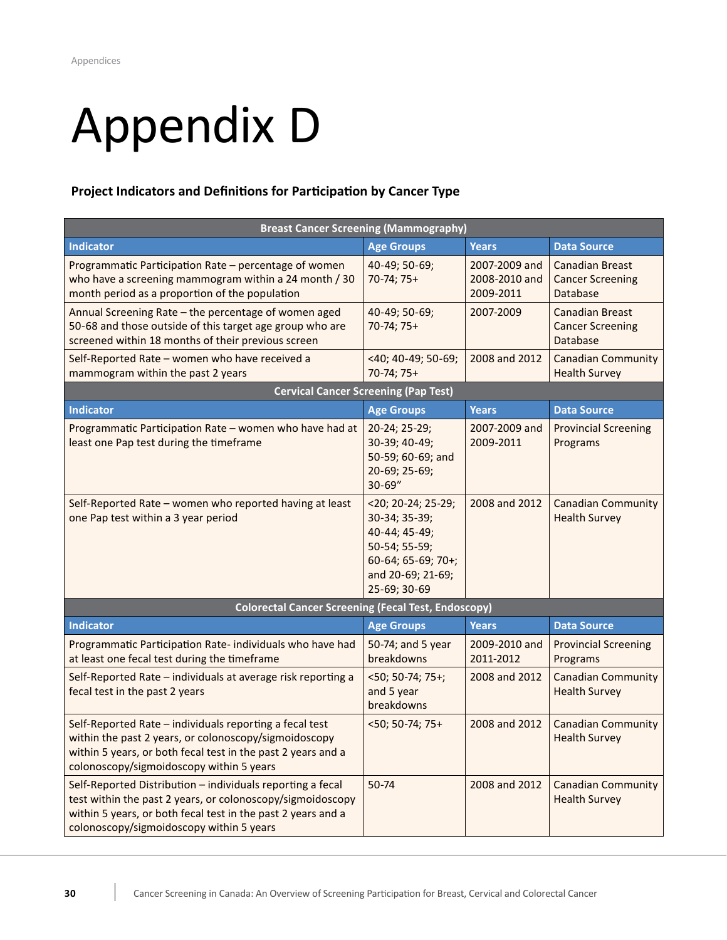# <span id="page-31-0"></span> Appendix D

# **Project Indicators and Definitions for Participation by Cancer Type**

| <b>Breast Cancer Screening (Mammography)</b>                                                                                                                                                                                         |                                                                                                                                     |                                             |                                                               |  |  |
|--------------------------------------------------------------------------------------------------------------------------------------------------------------------------------------------------------------------------------------|-------------------------------------------------------------------------------------------------------------------------------------|---------------------------------------------|---------------------------------------------------------------|--|--|
| <b>Indicator</b>                                                                                                                                                                                                                     | <b>Age Groups</b>                                                                                                                   | <b>Years</b>                                | <b>Data Source</b>                                            |  |  |
| Programmatic Participation Rate - percentage of women<br>who have a screening mammogram within a 24 month / 30<br>month period as a proportion of the population                                                                     | 40-49; 50-69;<br>70-74; 75+                                                                                                         | 2007-2009 and<br>2008-2010 and<br>2009-2011 | <b>Canadian Breast</b><br><b>Cancer Screening</b><br>Database |  |  |
| Annual Screening Rate - the percentage of women aged<br>50-68 and those outside of this target age group who are<br>screened within 18 months of their previous screen                                                               | 40-49; 50-69;<br>70-74; 75+                                                                                                         | 2007-2009                                   | <b>Canadian Breast</b><br><b>Cancer Screening</b><br>Database |  |  |
| Self-Reported Rate - women who have received a<br>mammogram within the past 2 years                                                                                                                                                  | <40; 40-49; 50-69;<br>70-74; 75+                                                                                                    | 2008 and 2012                               | <b>Canadian Community</b><br><b>Health Survey</b>             |  |  |
|                                                                                                                                                                                                                                      | <b>Cervical Cancer Screening (Pap Test)</b>                                                                                         |                                             |                                                               |  |  |
| <b>Indicator</b>                                                                                                                                                                                                                     | <b>Age Groups</b>                                                                                                                   | <b>Years</b>                                | <b>Data Source</b>                                            |  |  |
| Programmatic Participation Rate - women who have had at<br>least one Pap test during the timeframe                                                                                                                                   | 20-24; 25-29;<br>30-39; 40-49;<br>50-59; 60-69; and<br>20-69; 25-69;<br>$30 - 69"$                                                  | 2007-2009 and<br>2009-2011                  | <b>Provincial Screening</b><br>Programs                       |  |  |
| Self-Reported Rate - women who reported having at least<br>one Pap test within a 3 year period                                                                                                                                       | $<$ 20; 20-24; 25-29;<br>30-34; 35-39;<br>40-44; 45-49;<br>50-54; 55-59;<br>60-64; 65-69; 70+;<br>and 20-69; 21-69;<br>25-69; 30-69 | 2008 and 2012                               | <b>Canadian Community</b><br><b>Health Survey</b>             |  |  |
| <b>Colorectal Cancer Screening (Fecal Test, Endoscopy)</b>                                                                                                                                                                           |                                                                                                                                     |                                             |                                                               |  |  |
| <b>Indicator</b>                                                                                                                                                                                                                     | <b>Age Groups</b>                                                                                                                   | <b>Years</b>                                | <b>Data Source</b>                                            |  |  |
| Programmatic Participation Rate-individuals who have had<br>at least one fecal test during the timeframe                                                                                                                             | 50-74; and 5 year<br>breakdowns                                                                                                     | 2009-2010 and<br>2011-2012                  | <b>Provincial Screening</b><br>Programs                       |  |  |
| Self-Reported Rate - individuals at average risk reporting a<br>fecal test in the past 2 years                                                                                                                                       | $50; 50-74; 75+;$<br>and 5 year<br>breakdowns                                                                                       | 2008 and 2012                               | <b>Canadian Community</b><br><b>Health Survey</b>             |  |  |
| Self-Reported Rate - individuals reporting a fecal test<br>within the past 2 years, or colonoscopy/sigmoidoscopy<br>within 5 years, or both fecal test in the past 2 years and a<br>colonoscopy/sigmoidoscopy within 5 years         | $<$ 50; 50-74; 75+                                                                                                                  | 2008 and 2012                               | <b>Canadian Community</b><br><b>Health Survey</b>             |  |  |
| Self-Reported Distribution - individuals reporting a fecal<br>test within the past 2 years, or colonoscopy/sigmoidoscopy<br>within 5 years, or both fecal test in the past 2 years and a<br>colonoscopy/sigmoidoscopy within 5 years | 50-74                                                                                                                               | 2008 and 2012                               | <b>Canadian Community</b><br><b>Health Survey</b>             |  |  |